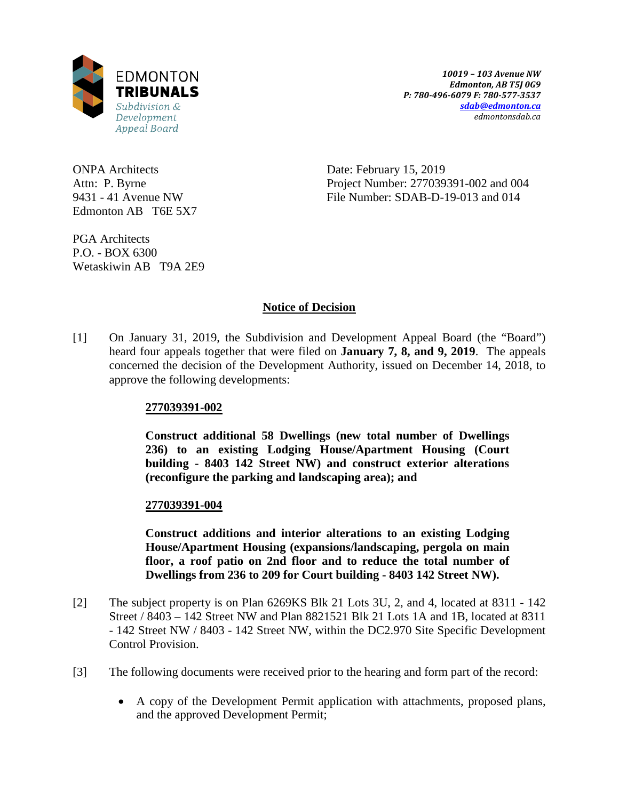

ONPA Architects Attn: P. Byrne 9431 - 41 Avenue NW Edmonton AB T6E 5X7 Date: February 15, 2019 Project Number: 277039391-002 and 004 File Number: SDAB-D-19-013 and 014

PGA Architects P.O. - BOX 6300 Wetaskiwin AB T9A 2E9

# **Notice of Decision**

[1] On January 31, 2019, the Subdivision and Development Appeal Board (the "Board") heard four appeals together that were filed on **January 7, 8, and 9, 2019**. The appeals concerned the decision of the Development Authority, issued on December 14, 2018, to approve the following developments:

# **277039391-002**

**Construct additional 58 Dwellings (new total number of Dwellings 236) to an existing Lodging House/Apartment Housing (Court building - 8403 142 Street NW) and construct exterior alterations (reconfigure the parking and landscaping area); and**

## **277039391-004**

**Construct additions and interior alterations to an existing Lodging House/Apartment Housing (expansions/landscaping, pergola on main floor, a roof patio on 2nd floor and to reduce the total number of Dwellings from 236 to 209 for Court building - 8403 142 Street NW).**

- [2] The subject property is on Plan 6269KS Blk 21 Lots 3U, 2, and 4, located at 8311 142 Street / 8403 – 142 Street NW and Plan 8821521 Blk 21 Lots 1A and 1B, located at 8311 - 142 Street NW / 8403 - 142 Street NW, within the DC2.970 Site Specific Development Control Provision.
- [3] The following documents were received prior to the hearing and form part of the record:
	- A copy of the Development Permit application with attachments, proposed plans, and the approved Development Permit;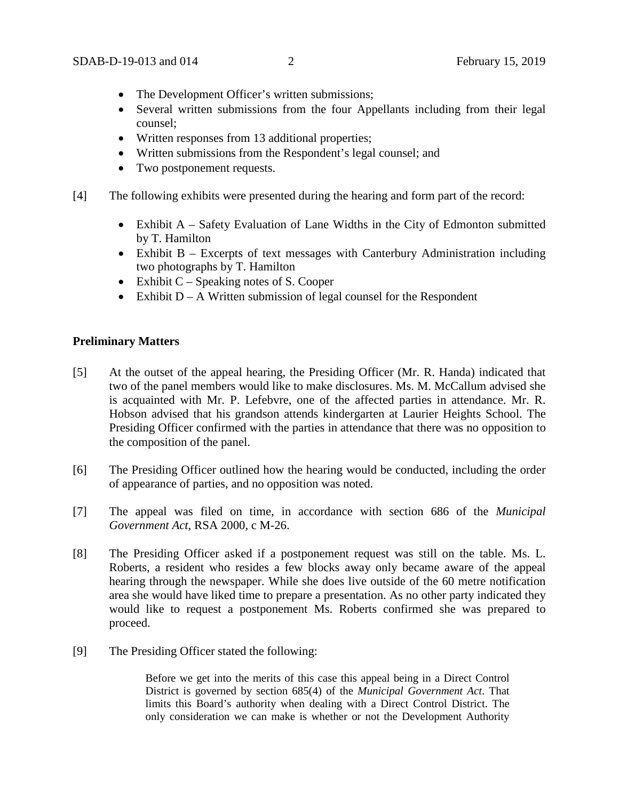- The Development Officer's written submissions;
- Several written submissions from the four Appellants including from their legal counsel;
- Written responses from 13 additional properties;
- Written submissions from the Respondent's legal counsel; and
- Two postponement requests.
- [4] The following exhibits were presented during the hearing and form part of the record:
	- Exhibit A Safety Evaluation of Lane Widths in the City of Edmonton submitted by T. Hamilton
	- Exhibit B Excerpts of text messages with Canterbury Administration including two photographs by T. Hamilton
	- Exhibit  $C -$  Speaking notes of S. Cooper
	- Exhibit  $D A$  Written submission of legal counsel for the Respondent

## **Preliminary Matters**

- [5] At the outset of the appeal hearing, the Presiding Officer (Mr. R. Handa) indicated that two of the panel members would like to make disclosures. Ms. M. McCallum advised she is acquainted with Mr. P. Lefebvre, one of the affected parties in attendance. Mr. R. Hobson advised that his grandson attends kindergarten at Laurier Heights School. The Presiding Officer confirmed with the parties in attendance that there was no opposition to the composition of the panel.
- [6] The Presiding Officer outlined how the hearing would be conducted, including the order of appearance of parties, and no opposition was noted.
- [7] The appeal was filed on time, in accordance with section 686 of the *Municipal Government Act*, RSA 2000, c M-26.
- [8] The Presiding Officer asked if a postponement request was still on the table. Ms. L. Roberts, a resident who resides a few blocks away only became aware of the appeal hearing through the newspaper. While she does live outside of the 60 metre notification area she would have liked time to prepare a presentation. As no other party indicated they would like to request a postponement Ms. Roberts confirmed she was prepared to proceed.
- [9] The Presiding Officer stated the following:

Before we get into the merits of this case this appeal being in a Direct Control District is governed by section 685(4) of the *Municipal Government Act*. That limits this Board's authority when dealing with a Direct Control District. The only consideration we can make is whether or not the Development Authority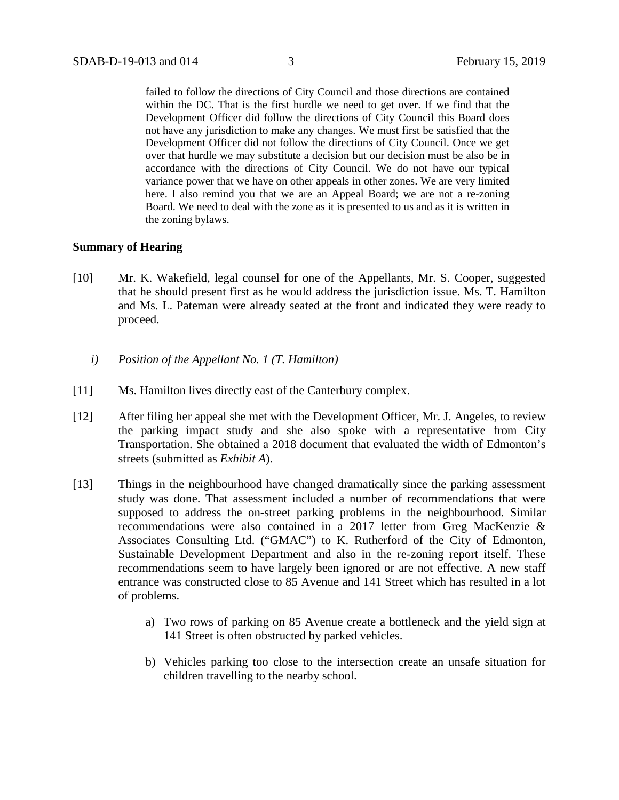failed to follow the directions of City Council and those directions are contained within the DC. That is the first hurdle we need to get over. If we find that the Development Officer did follow the directions of City Council this Board does not have any jurisdiction to make any changes. We must first be satisfied that the Development Officer did not follow the directions of City Council. Once we get over that hurdle we may substitute a decision but our decision must be also be in accordance with the directions of City Council. We do not have our typical variance power that we have on other appeals in other zones. We are very limited here. I also remind you that we are an Appeal Board; we are not a re-zoning Board. We need to deal with the zone as it is presented to us and as it is written in the zoning bylaws.

## **Summary of Hearing**

- [10] Mr. K. Wakefield, legal counsel for one of the Appellants, Mr. S. Cooper, suggested that he should present first as he would address the jurisdiction issue. Ms. T. Hamilton and Ms. L. Pateman were already seated at the front and indicated they were ready to proceed.
	- *i) Position of the Appellant No. 1 (T. Hamilton)*
- [11] Ms. Hamilton lives directly east of the Canterbury complex.
- [12] After filing her appeal she met with the Development Officer, Mr. J. Angeles, to review the parking impact study and she also spoke with a representative from City Transportation. She obtained a 2018 document that evaluated the width of Edmonton's streets (submitted as *Exhibit A*).
- [13] Things in the neighbourhood have changed dramatically since the parking assessment study was done. That assessment included a number of recommendations that were supposed to address the on-street parking problems in the neighbourhood. Similar recommendations were also contained in a 2017 letter from Greg MacKenzie & Associates Consulting Ltd. ("GMAC") to K. Rutherford of the City of Edmonton, Sustainable Development Department and also in the re-zoning report itself. These recommendations seem to have largely been ignored or are not effective. A new staff entrance was constructed close to 85 Avenue and 141 Street which has resulted in a lot of problems.
	- a) Two rows of parking on 85 Avenue create a bottleneck and the yield sign at 141 Street is often obstructed by parked vehicles.
	- b) Vehicles parking too close to the intersection create an unsafe situation for children travelling to the nearby school.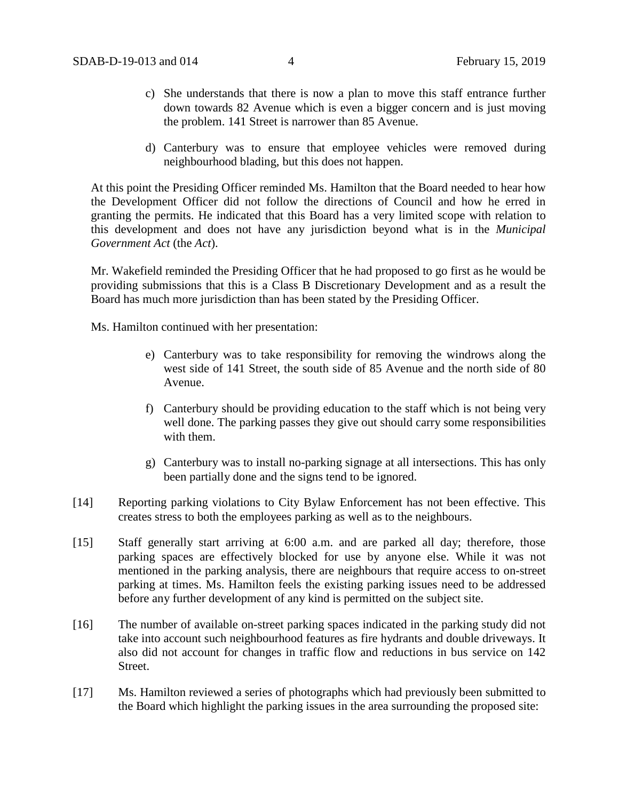- c) She understands that there is now a plan to move this staff entrance further down towards 82 Avenue which is even a bigger concern and is just moving the problem. 141 Street is narrower than 85 Avenue.
- d) Canterbury was to ensure that employee vehicles were removed during neighbourhood blading, but this does not happen.

At this point the Presiding Officer reminded Ms. Hamilton that the Board needed to hear how the Development Officer did not follow the directions of Council and how he erred in granting the permits. He indicated that this Board has a very limited scope with relation to this development and does not have any jurisdiction beyond what is in the *Municipal Government Act* (the *Act*).

Mr. Wakefield reminded the Presiding Officer that he had proposed to go first as he would be providing submissions that this is a Class B Discretionary Development and as a result the Board has much more jurisdiction than has been stated by the Presiding Officer.

Ms. Hamilton continued with her presentation:

- e) Canterbury was to take responsibility for removing the windrows along the west side of 141 Street, the south side of 85 Avenue and the north side of 80 Avenue.
- f) Canterbury should be providing education to the staff which is not being very well done. The parking passes they give out should carry some responsibilities with them.
- g) Canterbury was to install no-parking signage at all intersections. This has only been partially done and the signs tend to be ignored.
- [14] Reporting parking violations to City Bylaw Enforcement has not been effective. This creates stress to both the employees parking as well as to the neighbours.
- [15] Staff generally start arriving at 6:00 a.m. and are parked all day; therefore, those parking spaces are effectively blocked for use by anyone else. While it was not mentioned in the parking analysis, there are neighbours that require access to on-street parking at times. Ms. Hamilton feels the existing parking issues need to be addressed before any further development of any kind is permitted on the subject site.
- [16] The number of available on-street parking spaces indicated in the parking study did not take into account such neighbourhood features as fire hydrants and double driveways. It also did not account for changes in traffic flow and reductions in bus service on 142 Street.
- [17] Ms. Hamilton reviewed a series of photographs which had previously been submitted to the Board which highlight the parking issues in the area surrounding the proposed site: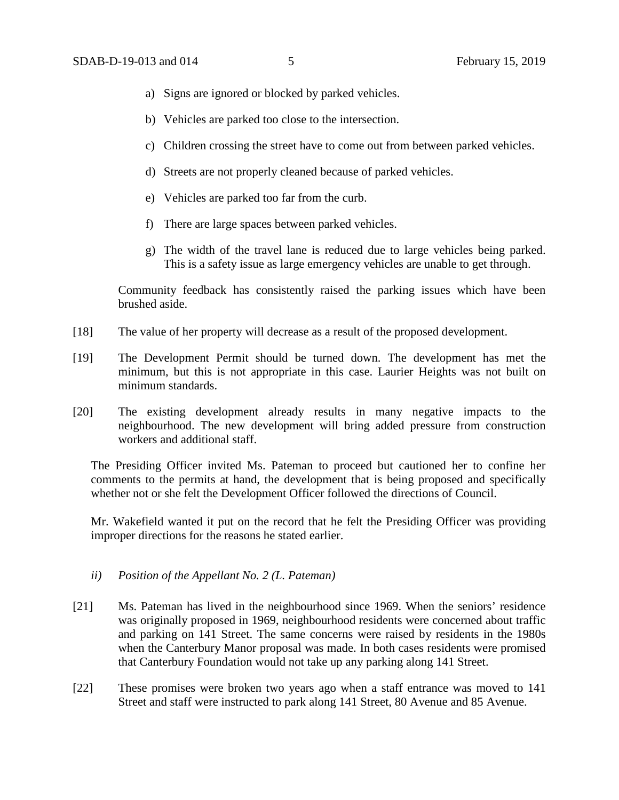- a) Signs are ignored or blocked by parked vehicles.
- b) Vehicles are parked too close to the intersection.
- c) Children crossing the street have to come out from between parked vehicles.
- d) Streets are not properly cleaned because of parked vehicles.
- e) Vehicles are parked too far from the curb.
- f) There are large spaces between parked vehicles.
- g) The width of the travel lane is reduced due to large vehicles being parked. This is a safety issue as large emergency vehicles are unable to get through.

Community feedback has consistently raised the parking issues which have been brushed aside.

- [18] The value of her property will decrease as a result of the proposed development.
- [19] The Development Permit should be turned down. The development has met the minimum, but this is not appropriate in this case. Laurier Heights was not built on minimum standards.
- [20] The existing development already results in many negative impacts to the neighbourhood. The new development will bring added pressure from construction workers and additional staff.

The Presiding Officer invited Ms. Pateman to proceed but cautioned her to confine her comments to the permits at hand, the development that is being proposed and specifically whether not or she felt the Development Officer followed the directions of Council.

Mr. Wakefield wanted it put on the record that he felt the Presiding Officer was providing improper directions for the reasons he stated earlier.

- *ii) Position of the Appellant No. 2 (L. Pateman)*
- [21] Ms. Pateman has lived in the neighbourhood since 1969. When the seniors' residence was originally proposed in 1969, neighbourhood residents were concerned about traffic and parking on 141 Street. The same concerns were raised by residents in the 1980s when the Canterbury Manor proposal was made. In both cases residents were promised that Canterbury Foundation would not take up any parking along 141 Street.
- [22] These promises were broken two years ago when a staff entrance was moved to 141 Street and staff were instructed to park along 141 Street, 80 Avenue and 85 Avenue.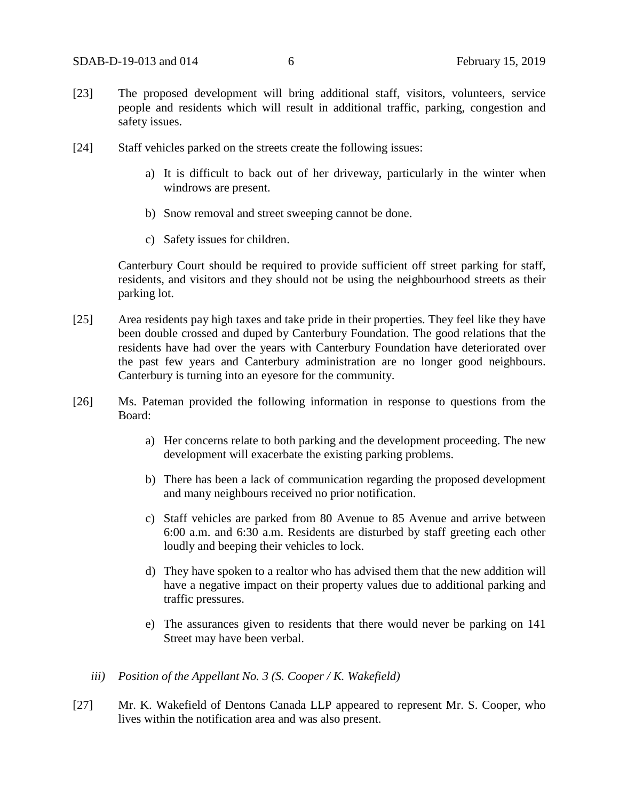- [23] The proposed development will bring additional staff, visitors, volunteers, service people and residents which will result in additional traffic, parking, congestion and safety issues.
- [24] Staff vehicles parked on the streets create the following issues:
	- a) It is difficult to back out of her driveway, particularly in the winter when windrows are present.
	- b) Snow removal and street sweeping cannot be done.
	- c) Safety issues for children.

Canterbury Court should be required to provide sufficient off street parking for staff, residents, and visitors and they should not be using the neighbourhood streets as their parking lot.

- [25] Area residents pay high taxes and take pride in their properties. They feel like they have been double crossed and duped by Canterbury Foundation. The good relations that the residents have had over the years with Canterbury Foundation have deteriorated over the past few years and Canterbury administration are no longer good neighbours. Canterbury is turning into an eyesore for the community.
- [26] Ms. Pateman provided the following information in response to questions from the Board:
	- a) Her concerns relate to both parking and the development proceeding. The new development will exacerbate the existing parking problems.
	- b) There has been a lack of communication regarding the proposed development and many neighbours received no prior notification.
	- c) Staff vehicles are parked from 80 Avenue to 85 Avenue and arrive between 6:00 a.m. and 6:30 a.m. Residents are disturbed by staff greeting each other loudly and beeping their vehicles to lock.
	- d) They have spoken to a realtor who has advised them that the new addition will have a negative impact on their property values due to additional parking and traffic pressures.
	- e) The assurances given to residents that there would never be parking on 141 Street may have been verbal.
	- *iii) Position of the Appellant No. 3 (S. Cooper / K. Wakefield)*
- [27] Mr. K. Wakefield of Dentons Canada LLP appeared to represent Mr. S. Cooper, who lives within the notification area and was also present.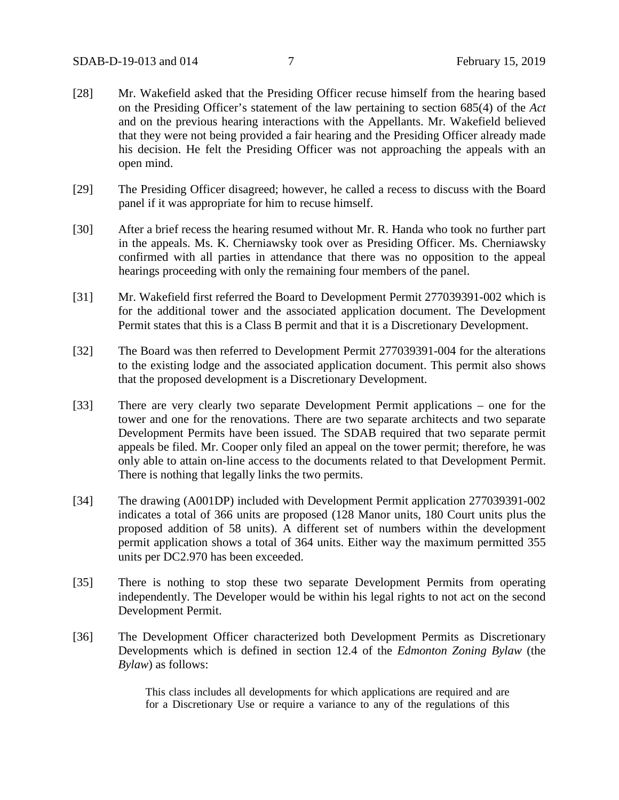- [28] Mr. Wakefield asked that the Presiding Officer recuse himself from the hearing based on the Presiding Officer's statement of the law pertaining to section 685(4) of the *Act* and on the previous hearing interactions with the Appellants. Mr. Wakefield believed that they were not being provided a fair hearing and the Presiding Officer already made his decision. He felt the Presiding Officer was not approaching the appeals with an open mind.
- [29] The Presiding Officer disagreed; however, he called a recess to discuss with the Board panel if it was appropriate for him to recuse himself.
- [30] After a brief recess the hearing resumed without Mr. R. Handa who took no further part in the appeals. Ms. K. Cherniawsky took over as Presiding Officer. Ms. Cherniawsky confirmed with all parties in attendance that there was no opposition to the appeal hearings proceeding with only the remaining four members of the panel.
- [31] Mr. Wakefield first referred the Board to Development Permit 277039391-002 which is for the additional tower and the associated application document. The Development Permit states that this is a Class B permit and that it is a Discretionary Development.
- [32] The Board was then referred to Development Permit 277039391-004 for the alterations to the existing lodge and the associated application document. This permit also shows that the proposed development is a Discretionary Development.
- [33] There are very clearly two separate Development Permit applications one for the tower and one for the renovations. There are two separate architects and two separate Development Permits have been issued. The SDAB required that two separate permit appeals be filed. Mr. Cooper only filed an appeal on the tower permit; therefore, he was only able to attain on-line access to the documents related to that Development Permit. There is nothing that legally links the two permits.
- [34] The drawing (A001DP) included with Development Permit application 277039391-002 indicates a total of 366 units are proposed (128 Manor units, 180 Court units plus the proposed addition of 58 units). A different set of numbers within the development permit application shows a total of 364 units. Either way the maximum permitted 355 units per DC2.970 has been exceeded.
- [35] There is nothing to stop these two separate Development Permits from operating independently. The Developer would be within his legal rights to not act on the second Development Permit.
- [36] The Development Officer characterized both Development Permits as Discretionary Developments which is defined in section 12.4 of the *Edmonton Zoning Bylaw* (the *Bylaw*) as follows:

This class includes all developments for which applications are required and are for a Discretionary Use or require a variance to any of the regulations of this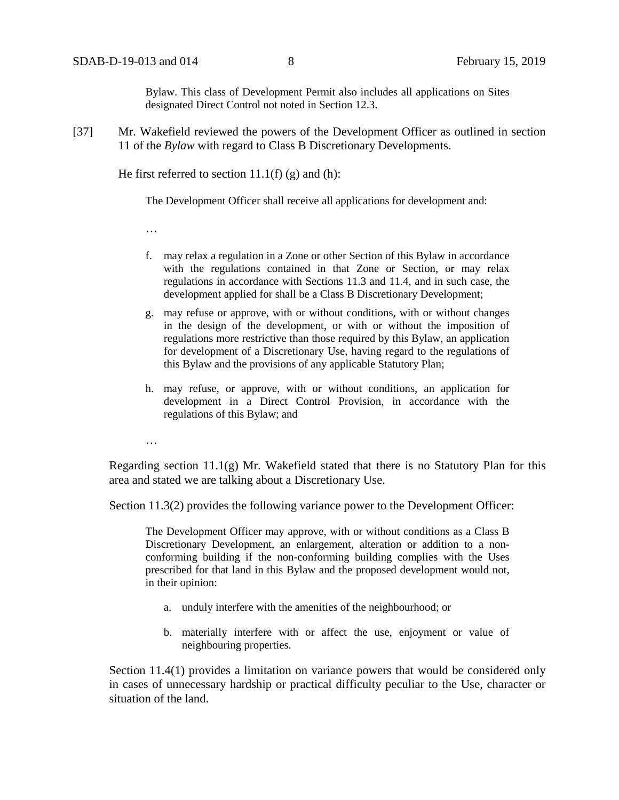Bylaw. This class of Development Permit also includes all applications on Sites designated Direct Control not noted in Section 12.3.

[37] Mr. Wakefield reviewed the powers of the Development Officer as outlined in section 11 of the *Bylaw* with regard to Class B Discretionary Developments.

He first referred to section  $11.1(f)$  (g) and (h):

The Development Officer shall receive all applications for development and:

…

- f. may relax a regulation in a Zone or other Section of this Bylaw in accordance with the regulations contained in that Zone or Section, or may relax regulations in accordance with Sections 11.3 and 11.4, and in such case, the development applied for shall be a Class B Discretionary Development;
- g. may refuse or approve, with or without conditions, with or without changes in the design of the development, or with or without the imposition of regulations more restrictive than those required by this Bylaw, an application for development of a Discretionary Use, having regard to the regulations of this Bylaw and the provisions of any applicable Statutory Plan;
- h. may refuse, or approve, with or without conditions, an application for development in a Direct Control Provision, in accordance with the regulations of this Bylaw; and

…

Regarding section 11.1(g) Mr. Wakefield stated that there is no Statutory Plan for this area and stated we are talking about a Discretionary Use.

Section 11.3(2) provides the following variance power to the Development Officer:

The Development Officer may approve, with or without conditions as a Class B Discretionary Development, an enlargement, alteration or addition to a nonconforming building if the non-conforming building complies with the Uses prescribed for that land in this Bylaw and the proposed development would not, in their opinion:

- a. unduly interfere with the amenities of the neighbourhood; or
- b. materially interfere with or affect the use, enjoyment or value of neighbouring properties.

Section 11.4(1) provides a limitation on variance powers that would be considered only in cases of unnecessary hardship or practical difficulty peculiar to the Use, character or situation of the land.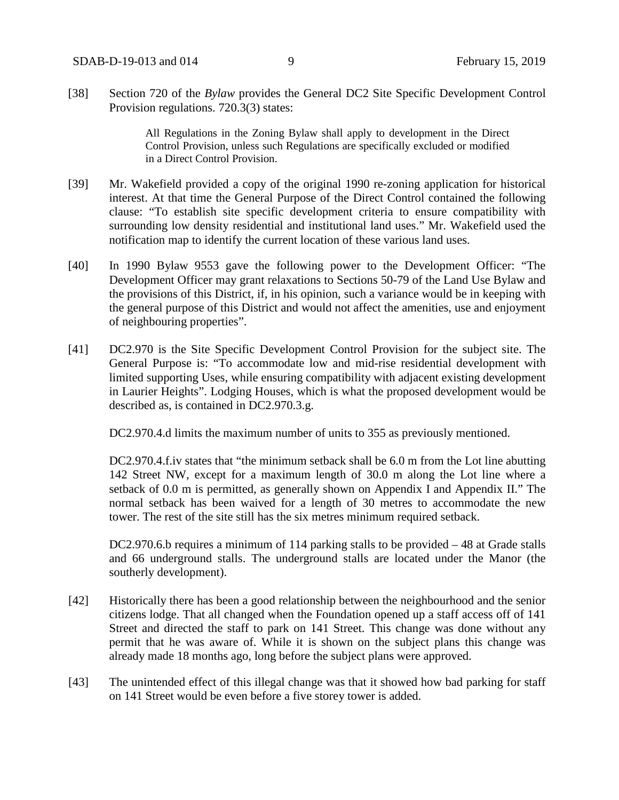[38] Section 720 of the *Bylaw* provides the General DC2 Site Specific Development Control Provision regulations. 720.3(3) states:

> All Regulations in the Zoning Bylaw shall apply to development in the Direct Control Provision, unless such Regulations are specifically excluded or modified in a Direct Control Provision.

- [39] Mr. Wakefield provided a copy of the original 1990 re-zoning application for historical interest. At that time the General Purpose of the Direct Control contained the following clause: "To establish site specific development criteria to ensure compatibility with surrounding low density residential and institutional land uses." Mr. Wakefield used the notification map to identify the current location of these various land uses.
- [40] In 1990 Bylaw 9553 gave the following power to the Development Officer: "The Development Officer may grant relaxations to Sections 50-79 of the Land Use Bylaw and the provisions of this District, if, in his opinion, such a variance would be in keeping with the general purpose of this District and would not affect the amenities, use and enjoyment of neighbouring properties".
- [41] DC2.970 is the Site Specific Development Control Provision for the subject site. The General Purpose is: "To accommodate low and mid-rise residential development with limited supporting Uses, while ensuring compatibility with adjacent existing development in Laurier Heights". Lodging Houses, which is what the proposed development would be described as, is contained in DC2.970.3.g.

DC2.970.4.d limits the maximum number of units to 355 as previously mentioned.

DC2.970.4.f.iv states that "the minimum setback shall be 6.0 m from the Lot line abutting 142 Street NW, except for a maximum length of 30.0 m along the Lot line where a setback of 0.0 m is permitted, as generally shown on Appendix I and Appendix II." The normal setback has been waived for a length of 30 metres to accommodate the new tower. The rest of the site still has the six metres minimum required setback.

DC2.970.6.b requires a minimum of 114 parking stalls to be provided – 48 at Grade stalls and 66 underground stalls. The underground stalls are located under the Manor (the southerly development).

- [42] Historically there has been a good relationship between the neighbourhood and the senior citizens lodge. That all changed when the Foundation opened up a staff access off of 141 Street and directed the staff to park on 141 Street. This change was done without any permit that he was aware of. While it is shown on the subject plans this change was already made 18 months ago, long before the subject plans were approved.
- [43] The unintended effect of this illegal change was that it showed how bad parking for staff on 141 Street would be even before a five storey tower is added.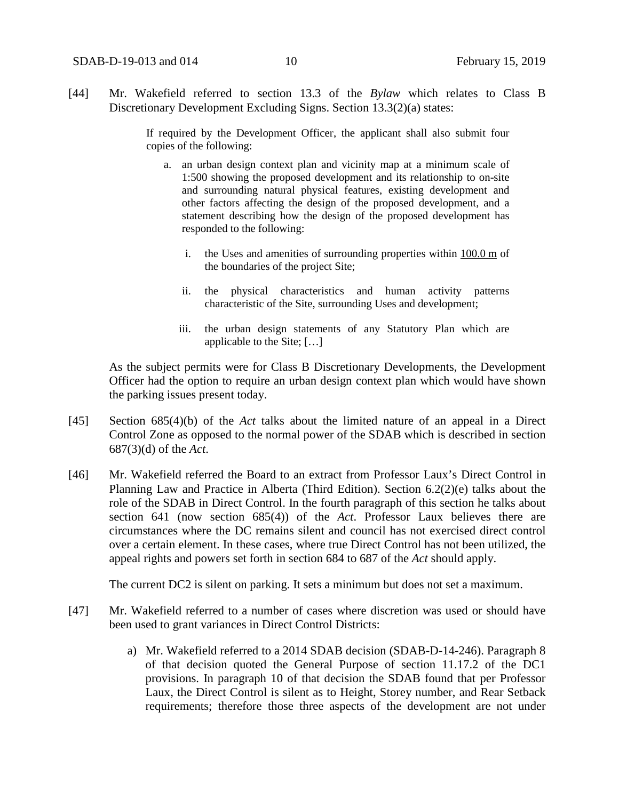[44] Mr. Wakefield referred to section 13.3 of the *Bylaw* which relates to Class B Discretionary Development Excluding Signs. Section 13.3(2)(a) states:

> If required by the Development Officer, the applicant shall also submit four copies of the following:

- a. an urban design context plan and vicinity map at a minimum scale of 1:500 showing the proposed development and its relationship to on-site and surrounding natural physical features, existing development and other factors affecting the design of the proposed development, and a statement describing how the design of the proposed development has responded to the following:
	- i. the Uses and amenities of surrounding properties within [100.0](javascript:void(0);) m of the boundaries of the project Site;
	- ii. the physical characteristics and human activity patterns characteristic of the Site, surrounding Uses and development;
	- iii. the urban design statements of any Statutory Plan which are applicable to the Site; […]

As the subject permits were for Class B Discretionary Developments, the Development Officer had the option to require an urban design context plan which would have shown the parking issues present today.

- [45] Section 685(4)(b) of the *Act* talks about the limited nature of an appeal in a Direct Control Zone as opposed to the normal power of the SDAB which is described in section 687(3)(d) of the *Act*.
- [46] Mr. Wakefield referred the Board to an extract from Professor Laux's Direct Control in Planning Law and Practice in Alberta (Third Edition). Section 6.2(2)(e) talks about the role of the SDAB in Direct Control. In the fourth paragraph of this section he talks about section 641 (now section 685(4)) of the *Act*. Professor Laux believes there are circumstances where the DC remains silent and council has not exercised direct control over a certain element. In these cases, where true Direct Control has not been utilized, the appeal rights and powers set forth in section 684 to 687 of the *Act* should apply.

The current DC2 is silent on parking. It sets a minimum but does not set a maximum.

- [47] Mr. Wakefield referred to a number of cases where discretion was used or should have been used to grant variances in Direct Control Districts:
	- a) Mr. Wakefield referred to a 2014 SDAB decision (SDAB-D-14-246). Paragraph 8 of that decision quoted the General Purpose of section 11.17.2 of the DC1 provisions. In paragraph 10 of that decision the SDAB found that per Professor Laux, the Direct Control is silent as to Height, Storey number, and Rear Setback requirements; therefore those three aspects of the development are not under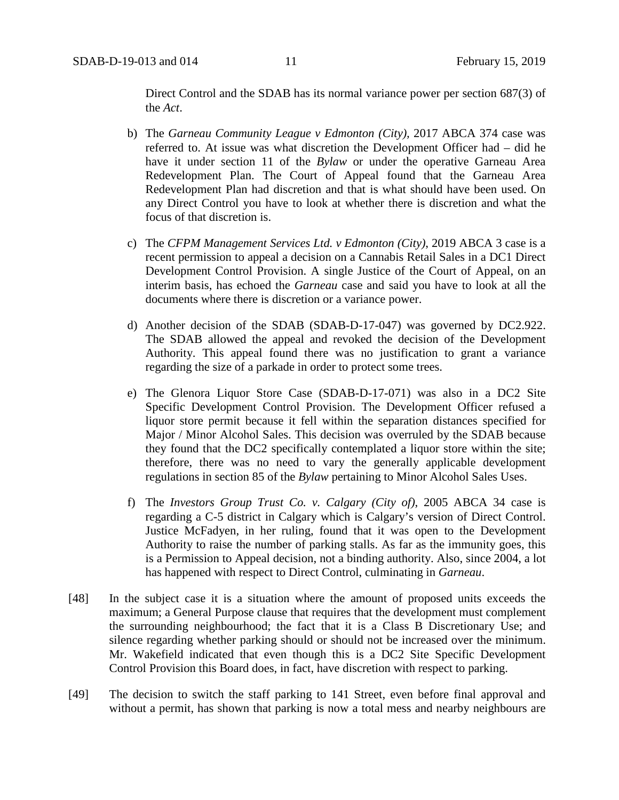Direct Control and the SDAB has its normal variance power per section 687(3) of the *Act*.

- b) The *Garneau Community League v Edmonton (City),* 2017 ABCA 374 case was referred to. At issue was what discretion the Development Officer had – did he have it under section 11 of the *Bylaw* or under the operative Garneau Area Redevelopment Plan. The Court of Appeal found that the Garneau Area Redevelopment Plan had discretion and that is what should have been used. On any Direct Control you have to look at whether there is discretion and what the focus of that discretion is.
- c) The *CFPM Management Services Ltd. v Edmonton (City)*, 2019 ABCA 3 case is a recent permission to appeal a decision on a Cannabis Retail Sales in a DC1 Direct Development Control Provision. A single Justice of the Court of Appeal, on an interim basis, has echoed the *Garneau* case and said you have to look at all the documents where there is discretion or a variance power.
- d) Another decision of the SDAB (SDAB-D-17-047) was governed by DC2.922. The SDAB allowed the appeal and revoked the decision of the Development Authority. This appeal found there was no justification to grant a variance regarding the size of a parkade in order to protect some trees.
- e) The Glenora Liquor Store Case (SDAB-D-17-071) was also in a DC2 Site Specific Development Control Provision. The Development Officer refused a liquor store permit because it fell within the separation distances specified for Major / Minor Alcohol Sales. This decision was overruled by the SDAB because they found that the DC2 specifically contemplated a liquor store within the site; therefore, there was no need to vary the generally applicable development regulations in section 85 of the *Bylaw* pertaining to Minor Alcohol Sales Uses.
- f) The *Investors Group Trust Co. v. Calgary (City of)*, 2005 ABCA 34 case is regarding a C-5 district in Calgary which is Calgary's version of Direct Control. Justice McFadyen, in her ruling, found that it was open to the Development Authority to raise the number of parking stalls. As far as the immunity goes, this is a Permission to Appeal decision, not a binding authority. Also, since 2004, a lot has happened with respect to Direct Control, culminating in *Garneau*.
- [48] In the subject case it is a situation where the amount of proposed units exceeds the maximum; a General Purpose clause that requires that the development must complement the surrounding neighbourhood; the fact that it is a Class B Discretionary Use; and silence regarding whether parking should or should not be increased over the minimum. Mr. Wakefield indicated that even though this is a DC2 Site Specific Development Control Provision this Board does, in fact, have discretion with respect to parking.
- [49] The decision to switch the staff parking to 141 Street, even before final approval and without a permit, has shown that parking is now a total mess and nearby neighbours are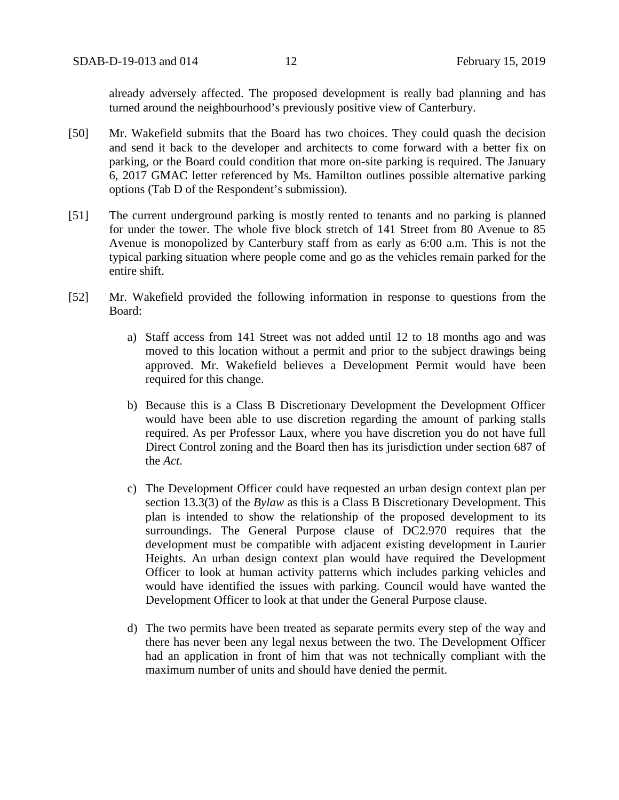already adversely affected. The proposed development is really bad planning and has turned around the neighbourhood's previously positive view of Canterbury.

- [50] Mr. Wakefield submits that the Board has two choices. They could quash the decision and send it back to the developer and architects to come forward with a better fix on parking, or the Board could condition that more on-site parking is required. The January 6, 2017 GMAC letter referenced by Ms. Hamilton outlines possible alternative parking options (Tab D of the Respondent's submission).
- [51] The current underground parking is mostly rented to tenants and no parking is planned for under the tower. The whole five block stretch of 141 Street from 80 Avenue to 85 Avenue is monopolized by Canterbury staff from as early as 6:00 a.m. This is not the typical parking situation where people come and go as the vehicles remain parked for the entire shift.
- [52] Mr. Wakefield provided the following information in response to questions from the Board:
	- a) Staff access from 141 Street was not added until 12 to 18 months ago and was moved to this location without a permit and prior to the subject drawings being approved. Mr. Wakefield believes a Development Permit would have been required for this change.
	- b) Because this is a Class B Discretionary Development the Development Officer would have been able to use discretion regarding the amount of parking stalls required. As per Professor Laux, where you have discretion you do not have full Direct Control zoning and the Board then has its jurisdiction under section 687 of the *Act*.
	- c) The Development Officer could have requested an urban design context plan per section 13.3(3) of the *Bylaw* as this is a Class B Discretionary Development. This plan is intended to show the relationship of the proposed development to its surroundings. The General Purpose clause of DC2.970 requires that the development must be compatible with adjacent existing development in Laurier Heights. An urban design context plan would have required the Development Officer to look at human activity patterns which includes parking vehicles and would have identified the issues with parking. Council would have wanted the Development Officer to look at that under the General Purpose clause.
	- d) The two permits have been treated as separate permits every step of the way and there has never been any legal nexus between the two. The Development Officer had an application in front of him that was not technically compliant with the maximum number of units and should have denied the permit.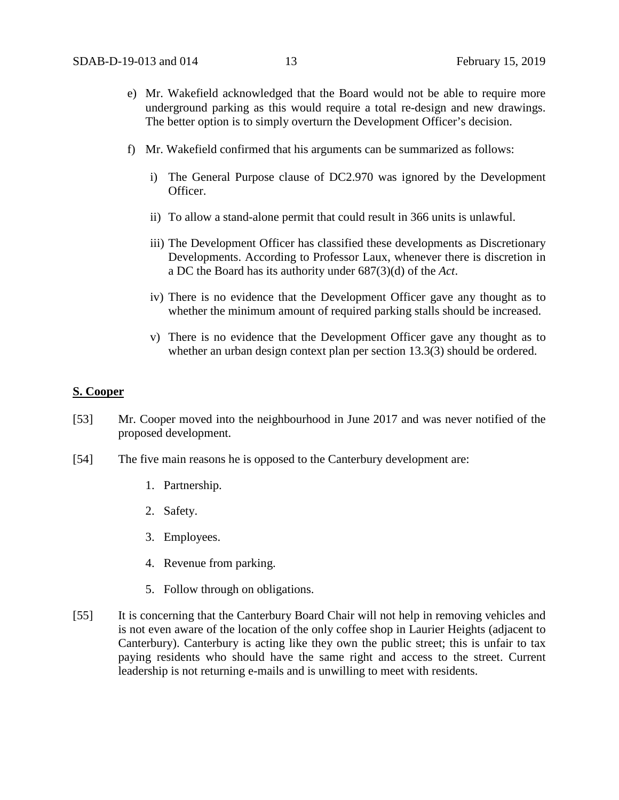- e) Mr. Wakefield acknowledged that the Board would not be able to require more underground parking as this would require a total re-design and new drawings. The better option is to simply overturn the Development Officer's decision.
- f) Mr. Wakefield confirmed that his arguments can be summarized as follows:
	- i) The General Purpose clause of DC2.970 was ignored by the Development Officer.
	- ii) To allow a stand-alone permit that could result in 366 units is unlawful.
	- iii) The Development Officer has classified these developments as Discretionary Developments. According to Professor Laux, whenever there is discretion in a DC the Board has its authority under 687(3)(d) of the *Act*.
	- iv) There is no evidence that the Development Officer gave any thought as to whether the minimum amount of required parking stalls should be increased.
	- v) There is no evidence that the Development Officer gave any thought as to whether an urban design context plan per section 13.3(3) should be ordered.

#### **S. Cooper**

- [53] Mr. Cooper moved into the neighbourhood in June 2017 and was never notified of the proposed development.
- [54] The five main reasons he is opposed to the Canterbury development are:
	- 1. Partnership.
	- 2. Safety.
	- 3. Employees.
	- 4. Revenue from parking.
	- 5. Follow through on obligations.
- [55] It is concerning that the Canterbury Board Chair will not help in removing vehicles and is not even aware of the location of the only coffee shop in Laurier Heights (adjacent to Canterbury). Canterbury is acting like they own the public street; this is unfair to tax paying residents who should have the same right and access to the street. Current leadership is not returning e-mails and is unwilling to meet with residents.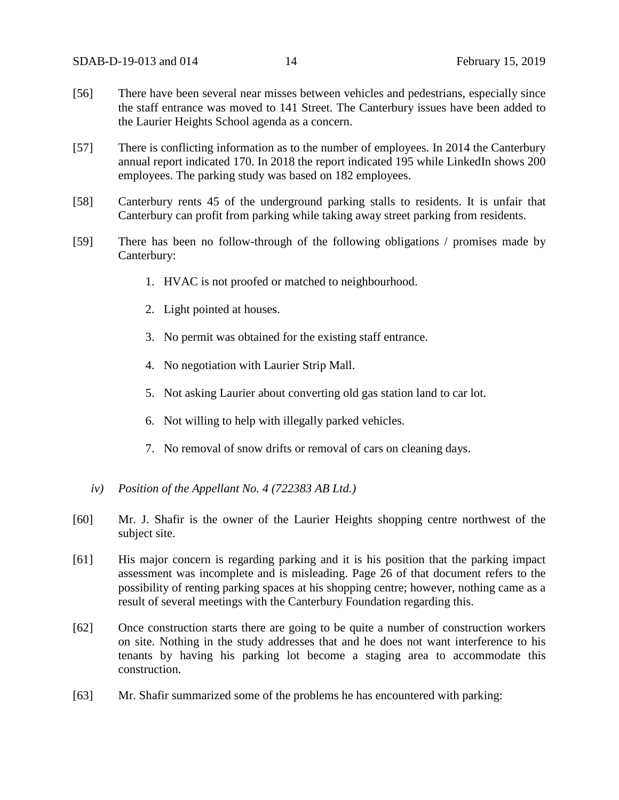- [56] There have been several near misses between vehicles and pedestrians, especially since the staff entrance was moved to 141 Street. The Canterbury issues have been added to the Laurier Heights School agenda as a concern.
- [57] There is conflicting information as to the number of employees. In 2014 the Canterbury annual report indicated 170. In 2018 the report indicated 195 while LinkedIn shows 200 employees. The parking study was based on 182 employees.
- [58] Canterbury rents 45 of the underground parking stalls to residents. It is unfair that Canterbury can profit from parking while taking away street parking from residents.
- [59] There has been no follow-through of the following obligations / promises made by Canterbury:
	- 1. HVAC is not proofed or matched to neighbourhood.
	- 2. Light pointed at houses.
	- 3. No permit was obtained for the existing staff entrance.
	- 4. No negotiation with Laurier Strip Mall.
	- 5. Not asking Laurier about converting old gas station land to car lot.
	- 6. Not willing to help with illegally parked vehicles.
	- 7. No removal of snow drifts or removal of cars on cleaning days.
	- *iv) Position of the Appellant No. 4 (722383 AB Ltd.)*
- [60] Mr. J. Shafir is the owner of the Laurier Heights shopping centre northwest of the subject site.
- [61] His major concern is regarding parking and it is his position that the parking impact assessment was incomplete and is misleading. Page 26 of that document refers to the possibility of renting parking spaces at his shopping centre; however, nothing came as a result of several meetings with the Canterbury Foundation regarding this.
- [62] Once construction starts there are going to be quite a number of construction workers on site. Nothing in the study addresses that and he does not want interference to his tenants by having his parking lot become a staging area to accommodate this construction.
- [63] Mr. Shafir summarized some of the problems he has encountered with parking: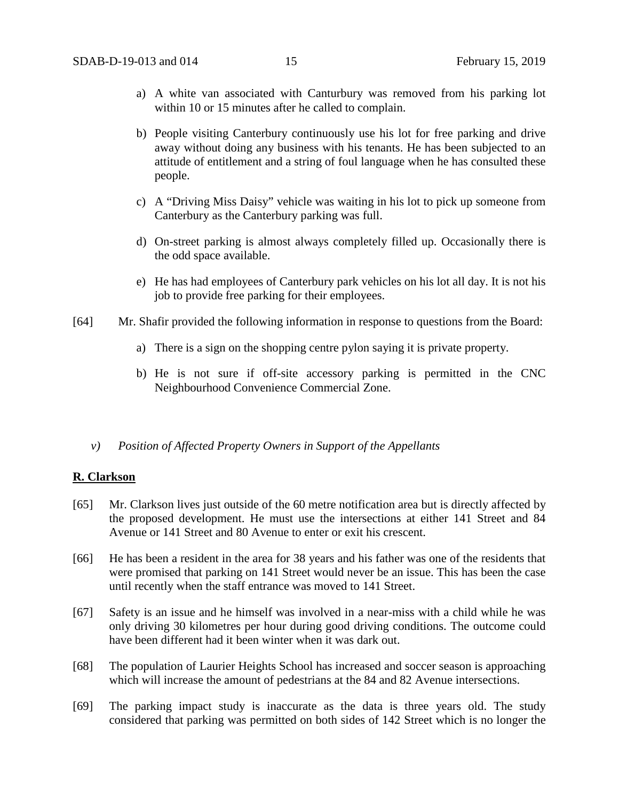- a) A white van associated with Canturbury was removed from his parking lot within 10 or 15 minutes after he called to complain.
- b) People visiting Canterbury continuously use his lot for free parking and drive away without doing any business with his tenants. He has been subjected to an attitude of entitlement and a string of foul language when he has consulted these people.
- c) A "Driving Miss Daisy" vehicle was waiting in his lot to pick up someone from Canterbury as the Canterbury parking was full.
- d) On-street parking is almost always completely filled up. Occasionally there is the odd space available.
- e) He has had employees of Canterbury park vehicles on his lot all day. It is not his job to provide free parking for their employees.
- [64] Mr. Shafir provided the following information in response to questions from the Board:
	- a) There is a sign on the shopping centre pylon saying it is private property.
	- b) He is not sure if off-site accessory parking is permitted in the CNC Neighbourhood Convenience Commercial Zone.
	- *v) Position of Affected Property Owners in Support of the Appellants*

#### **R. Clarkson**

- [65] Mr. Clarkson lives just outside of the 60 metre notification area but is directly affected by the proposed development. He must use the intersections at either 141 Street and 84 Avenue or 141 Street and 80 Avenue to enter or exit his crescent.
- [66] He has been a resident in the area for 38 years and his father was one of the residents that were promised that parking on 141 Street would never be an issue. This has been the case until recently when the staff entrance was moved to 141 Street.
- [67] Safety is an issue and he himself was involved in a near-miss with a child while he was only driving 30 kilometres per hour during good driving conditions. The outcome could have been different had it been winter when it was dark out.
- [68] The population of Laurier Heights School has increased and soccer season is approaching which will increase the amount of pedestrians at the 84 and 82 Avenue intersections.
- [69] The parking impact study is inaccurate as the data is three years old. The study considered that parking was permitted on both sides of 142 Street which is no longer the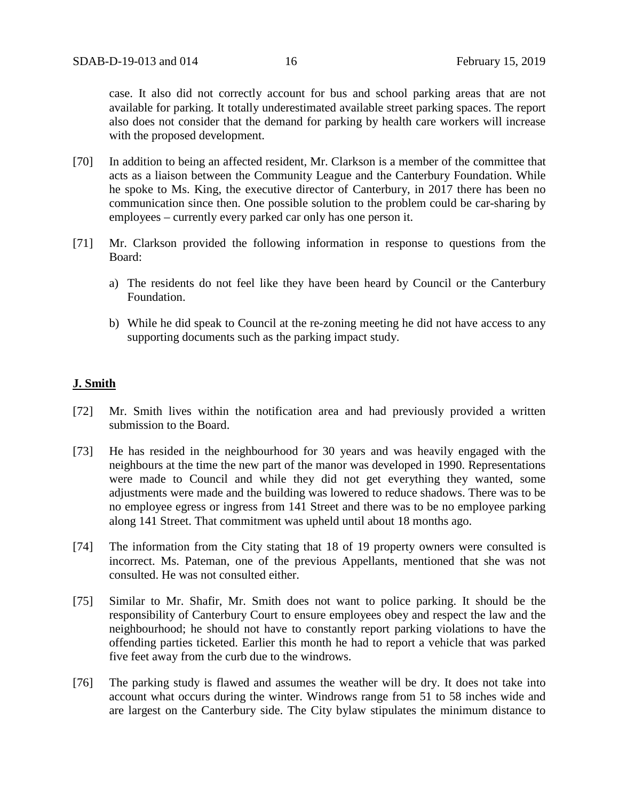case. It also did not correctly account for bus and school parking areas that are not available for parking. It totally underestimated available street parking spaces. The report also does not consider that the demand for parking by health care workers will increase with the proposed development.

- [70] In addition to being an affected resident, Mr. Clarkson is a member of the committee that acts as a liaison between the Community League and the Canterbury Foundation. While he spoke to Ms. King, the executive director of Canterbury, in 2017 there has been no communication since then. One possible solution to the problem could be car-sharing by employees – currently every parked car only has one person it.
- [71] Mr. Clarkson provided the following information in response to questions from the Board:
	- a) The residents do not feel like they have been heard by Council or the Canterbury Foundation.
	- b) While he did speak to Council at the re-zoning meeting he did not have access to any supporting documents such as the parking impact study.

#### **J. Smith**

- [72] Mr. Smith lives within the notification area and had previously provided a written submission to the Board.
- [73] He has resided in the neighbourhood for 30 years and was heavily engaged with the neighbours at the time the new part of the manor was developed in 1990. Representations were made to Council and while they did not get everything they wanted, some adjustments were made and the building was lowered to reduce shadows. There was to be no employee egress or ingress from 141 Street and there was to be no employee parking along 141 Street. That commitment was upheld until about 18 months ago.
- [74] The information from the City stating that 18 of 19 property owners were consulted is incorrect. Ms. Pateman, one of the previous Appellants, mentioned that she was not consulted. He was not consulted either.
- [75] Similar to Mr. Shafir, Mr. Smith does not want to police parking. It should be the responsibility of Canterbury Court to ensure employees obey and respect the law and the neighbourhood; he should not have to constantly report parking violations to have the offending parties ticketed. Earlier this month he had to report a vehicle that was parked five feet away from the curb due to the windrows.
- [76] The parking study is flawed and assumes the weather will be dry. It does not take into account what occurs during the winter. Windrows range from 51 to 58 inches wide and are largest on the Canterbury side. The City bylaw stipulates the minimum distance to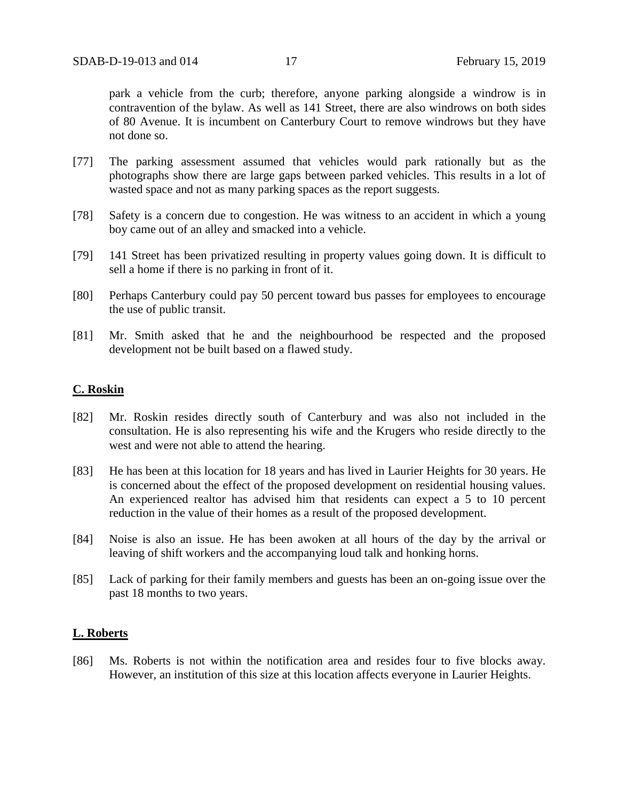park a vehicle from the curb; therefore, anyone parking alongside a windrow is in contravention of the bylaw. As well as 141 Street, there are also windrows on both sides of 80 Avenue. It is incumbent on Canterbury Court to remove windrows but they have not done so.

- [77] The parking assessment assumed that vehicles would park rationally but as the photographs show there are large gaps between parked vehicles. This results in a lot of wasted space and not as many parking spaces as the report suggests.
- [78] Safety is a concern due to congestion. He was witness to an accident in which a young boy came out of an alley and smacked into a vehicle.
- [79] 141 Street has been privatized resulting in property values going down. It is difficult to sell a home if there is no parking in front of it.
- [80] Perhaps Canterbury could pay 50 percent toward bus passes for employees to encourage the use of public transit.
- [81] Mr. Smith asked that he and the neighbourhood be respected and the proposed development not be built based on a flawed study.

#### **C. Roskin**

- [82] Mr. Roskin resides directly south of Canterbury and was also not included in the consultation. He is also representing his wife and the Krugers who reside directly to the west and were not able to attend the hearing.
- [83] He has been at this location for 18 years and has lived in Laurier Heights for 30 years. He is concerned about the effect of the proposed development on residential housing values. An experienced realtor has advised him that residents can expect a 5 to 10 percent reduction in the value of their homes as a result of the proposed development.
- [84] Noise is also an issue. He has been awoken at all hours of the day by the arrival or leaving of shift workers and the accompanying loud talk and honking horns.
- [85] Lack of parking for their family members and guests has been an on-going issue over the past 18 months to two years.

#### **L. Roberts**

[86] Ms. Roberts is not within the notification area and resides four to five blocks away. However, an institution of this size at this location affects everyone in Laurier Heights.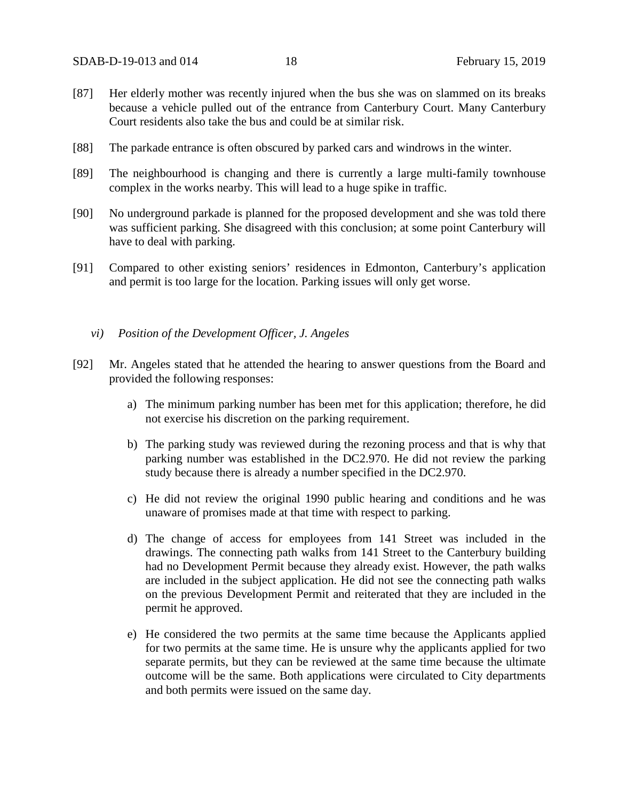- [87] Her elderly mother was recently injured when the bus she was on slammed on its breaks because a vehicle pulled out of the entrance from Canterbury Court. Many Canterbury Court residents also take the bus and could be at similar risk.
- [88] The parkade entrance is often obscured by parked cars and windrows in the winter.
- [89] The neighbourhood is changing and there is currently a large multi-family townhouse complex in the works nearby. This will lead to a huge spike in traffic.
- [90] No underground parkade is planned for the proposed development and she was told there was sufficient parking. She disagreed with this conclusion; at some point Canterbury will have to deal with parking.
- [91] Compared to other existing seniors' residences in Edmonton, Canterbury's application and permit is too large for the location. Parking issues will only get worse.
	- *vi) Position of the Development Officer, J. Angeles*
- [92] Mr. Angeles stated that he attended the hearing to answer questions from the Board and provided the following responses:
	- a) The minimum parking number has been met for this application; therefore, he did not exercise his discretion on the parking requirement.
	- b) The parking study was reviewed during the rezoning process and that is why that parking number was established in the DC2.970. He did not review the parking study because there is already a number specified in the DC2.970.
	- c) He did not review the original 1990 public hearing and conditions and he was unaware of promises made at that time with respect to parking.
	- d) The change of access for employees from 141 Street was included in the drawings. The connecting path walks from 141 Street to the Canterbury building had no Development Permit because they already exist. However, the path walks are included in the subject application. He did not see the connecting path walks on the previous Development Permit and reiterated that they are included in the permit he approved.
	- e) He considered the two permits at the same time because the Applicants applied for two permits at the same time. He is unsure why the applicants applied for two separate permits, but they can be reviewed at the same time because the ultimate outcome will be the same. Both applications were circulated to City departments and both permits were issued on the same day.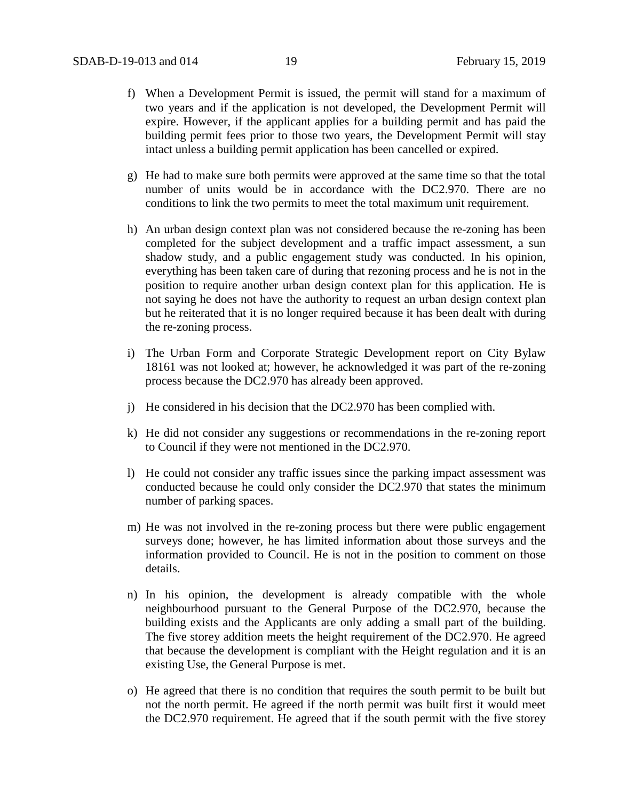- f) When a Development Permit is issued, the permit will stand for a maximum of two years and if the application is not developed, the Development Permit will expire. However, if the applicant applies for a building permit and has paid the building permit fees prior to those two years, the Development Permit will stay intact unless a building permit application has been cancelled or expired.
- g) He had to make sure both permits were approved at the same time so that the total number of units would be in accordance with the DC2.970. There are no conditions to link the two permits to meet the total maximum unit requirement.
- h) An urban design context plan was not considered because the re-zoning has been completed for the subject development and a traffic impact assessment, a sun shadow study, and a public engagement study was conducted. In his opinion, everything has been taken care of during that rezoning process and he is not in the position to require another urban design context plan for this application. He is not saying he does not have the authority to request an urban design context plan but he reiterated that it is no longer required because it has been dealt with during the re-zoning process.
- i) The Urban Form and Corporate Strategic Development report on City Bylaw 18161 was not looked at; however, he acknowledged it was part of the re-zoning process because the DC2.970 has already been approved.
- j) He considered in his decision that the DC2.970 has been complied with.
- k) He did not consider any suggestions or recommendations in the re-zoning report to Council if they were not mentioned in the DC2.970.
- l) He could not consider any traffic issues since the parking impact assessment was conducted because he could only consider the DC2.970 that states the minimum number of parking spaces.
- m) He was not involved in the re-zoning process but there were public engagement surveys done; however, he has limited information about those surveys and the information provided to Council. He is not in the position to comment on those details.
- n) In his opinion, the development is already compatible with the whole neighbourhood pursuant to the General Purpose of the DC2.970, because the building exists and the Applicants are only adding a small part of the building. The five storey addition meets the height requirement of the DC2.970. He agreed that because the development is compliant with the Height regulation and it is an existing Use, the General Purpose is met.
- o) He agreed that there is no condition that requires the south permit to be built but not the north permit. He agreed if the north permit was built first it would meet the DC2.970 requirement. He agreed that if the south permit with the five storey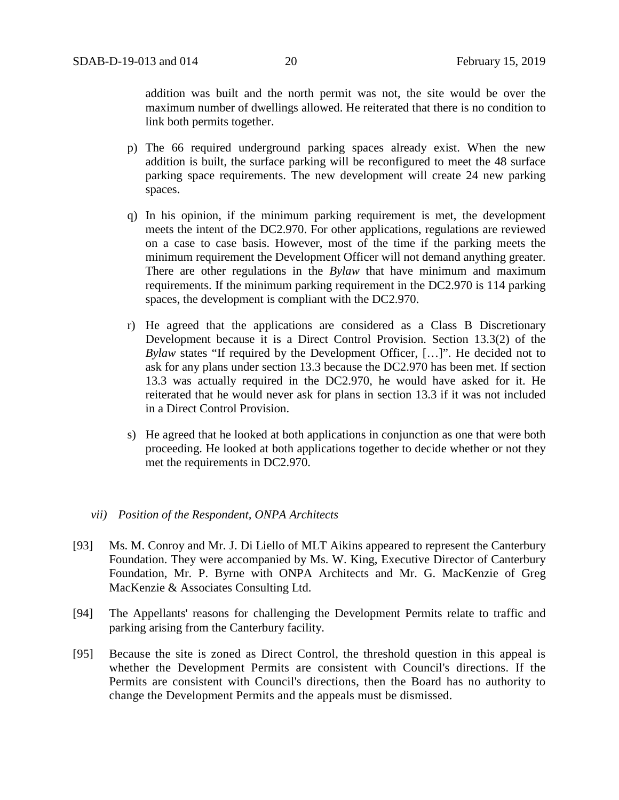addition was built and the north permit was not, the site would be over the maximum number of dwellings allowed. He reiterated that there is no condition to link both permits together.

- p) The 66 required underground parking spaces already exist. When the new addition is built, the surface parking will be reconfigured to meet the 48 surface parking space requirements. The new development will create 24 new parking spaces.
- q) In his opinion, if the minimum parking requirement is met, the development meets the intent of the DC2.970. For other applications, regulations are reviewed on a case to case basis. However, most of the time if the parking meets the minimum requirement the Development Officer will not demand anything greater. There are other regulations in the *Bylaw* that have minimum and maximum requirements. If the minimum parking requirement in the DC2.970 is 114 parking spaces, the development is compliant with the DC2.970.
- r) He agreed that the applications are considered as a Class B Discretionary Development because it is a Direct Control Provision. Section 13.3(2) of the *Bylaw* states "If required by the Development Officer, […]". He decided not to ask for any plans under section 13.3 because the DC2.970 has been met. If section 13.3 was actually required in the DC2.970, he would have asked for it. He reiterated that he would never ask for plans in section 13.3 if it was not included in a Direct Control Provision.
- s) He agreed that he looked at both applications in conjunction as one that were both proceeding. He looked at both applications together to decide whether or not they met the requirements in DC2.970.
- *vii) Position of the Respondent, ONPA Architects*
- [93] Ms. M. Conroy and Mr. J. Di Liello of MLT Aikins appeared to represent the Canterbury Foundation. They were accompanied by Ms. W. King, Executive Director of Canterbury Foundation, Mr. P. Byrne with ONPA Architects and Mr. G. MacKenzie of Greg MacKenzie & Associates Consulting Ltd.
- [94] The Appellants' reasons for challenging the Development Permits relate to traffic and parking arising from the Canterbury facility.
- [95] Because the site is zoned as Direct Control, the threshold question in this appeal is whether the Development Permits are consistent with Council's directions. If the Permits are consistent with Council's directions, then the Board has no authority to change the Development Permits and the appeals must be dismissed.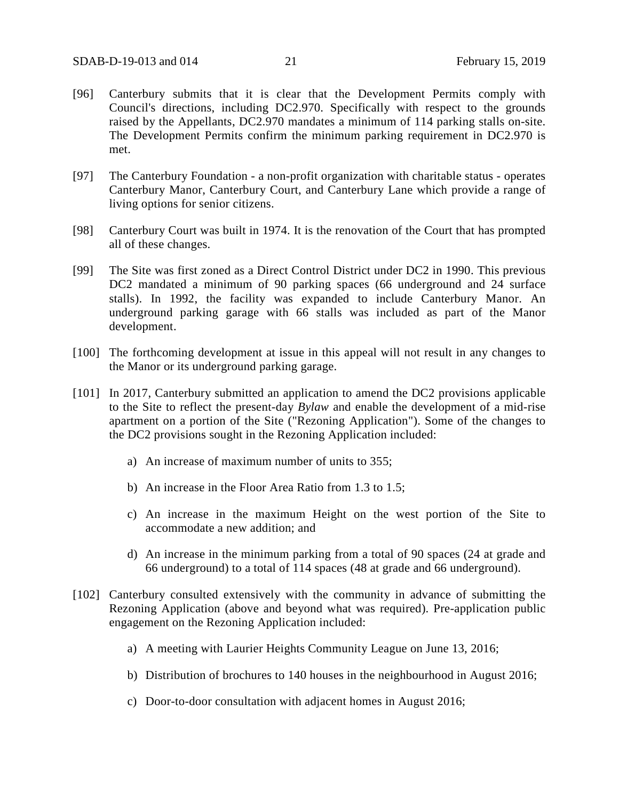- [96] Canterbury submits that it is clear that the Development Permits comply with Council's directions, including DC2.970. Specifically with respect to the grounds raised by the Appellants, DC2.970 mandates a minimum of 114 parking stalls on-site. The Development Permits confirm the minimum parking requirement in DC2.970 is met.
- [97] The Canterbury Foundation a non-profit organization with charitable status operates Canterbury Manor, Canterbury Court, and Canterbury Lane which provide a range of living options for senior citizens.
- [98] Canterbury Court was built in 1974. It is the renovation of the Court that has prompted all of these changes.
- [99] The Site was first zoned as a Direct Control District under DC2 in 1990. This previous DC2 mandated a minimum of 90 parking spaces (66 underground and 24 surface stalls). In 1992, the facility was expanded to include Canterbury Manor. An underground parking garage with 66 stalls was included as part of the Manor development.
- [100] The forthcoming development at issue in this appeal will not result in any changes to the Manor or its underground parking garage.
- [101] In 2017, Canterbury submitted an application to amend the DC2 provisions applicable to the Site to reflect the present-day *Bylaw* and enable the development of a mid-rise apartment on a portion of the Site ("Rezoning Application"). Some of the changes to the DC2 provisions sought in the Rezoning Application included:
	- a) An increase of maximum number of units to 355;
	- b) An increase in the Floor Area Ratio from 1.3 to 1.5;
	- c) An increase in the maximum Height on the west portion of the Site to accommodate a new addition; and
	- d) An increase in the minimum parking from a total of 90 spaces (24 at grade and 66 underground) to a total of 114 spaces (48 at grade and 66 underground).
- [102] Canterbury consulted extensively with the community in advance of submitting the Rezoning Application (above and beyond what was required). Pre-application public engagement on the Rezoning Application included:
	- a) A meeting with Laurier Heights Community League on June 13, 2016;
	- b) Distribution of brochures to 140 houses in the neighbourhood in August 2016;
	- c) Door-to-door consultation with adjacent homes in August 2016;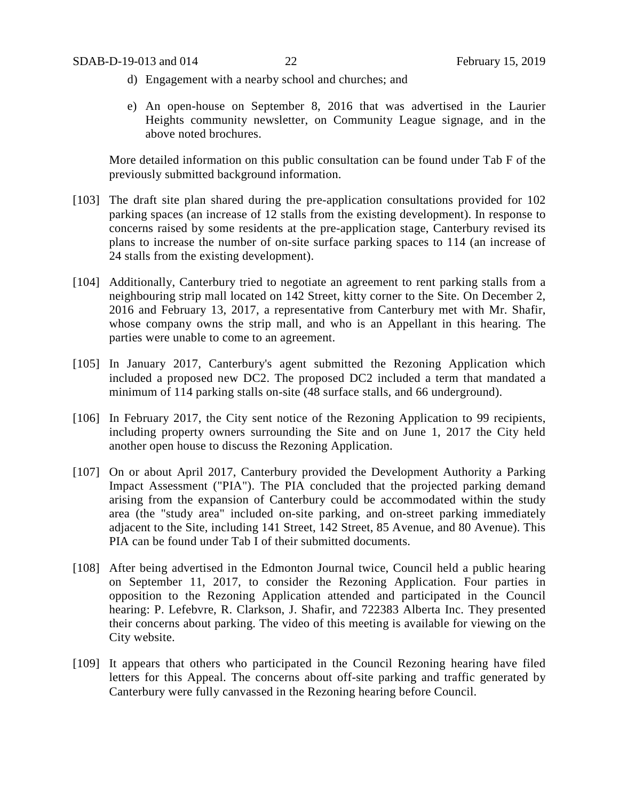- d) Engagement with a nearby school and churches; and
- e) An open-house on September 8, 2016 that was advertised in the Laurier Heights community newsletter, on Community League signage, and in the above noted brochures.

More detailed information on this public consultation can be found under Tab F of the previously submitted background information.

- [103] The draft site plan shared during the pre-application consultations provided for 102 parking spaces (an increase of 12 stalls from the existing development). In response to concerns raised by some residents at the pre-application stage, Canterbury revised its plans to increase the number of on-site surface parking spaces to 114 (an increase of 24 stalls from the existing development).
- [104] Additionally, Canterbury tried to negotiate an agreement to rent parking stalls from a neighbouring strip mall located on 142 Street, kitty corner to the Site. On December 2, 2016 and February 13, 2017, a representative from Canterbury met with Mr. Shafir, whose company owns the strip mall, and who is an Appellant in this hearing. The parties were unable to come to an agreement.
- [105] In January 2017, Canterbury's agent submitted the Rezoning Application which included a proposed new DC2. The proposed DC2 included a term that mandated a minimum of 114 parking stalls on-site (48 surface stalls, and 66 underground).
- [106] In February 2017, the City sent notice of the Rezoning Application to 99 recipients, including property owners surrounding the Site and on June 1, 2017 the City held another open house to discuss the Rezoning Application.
- [107] On or about April 2017, Canterbury provided the Development Authority a Parking Impact Assessment ("PIA"). The PIA concluded that the projected parking demand arising from the expansion of Canterbury could be accommodated within the study area (the "study area" included on-site parking, and on-street parking immediately adjacent to the Site, including 141 Street, 142 Street, 85 Avenue, and 80 Avenue). This PIA can be found under Tab I of their submitted documents.
- [108] After being advertised in the Edmonton Journal twice, Council held a public hearing on September 11, 2017, to consider the Rezoning Application. Four parties in opposition to the Rezoning Application attended and participated in the Council hearing: P. Lefebvre, R. Clarkson, J. Shafir, and 722383 Alberta Inc. They presented their concerns about parking. The video of this meeting is available for viewing on the City website.
- [109] It appears that others who participated in the Council Rezoning hearing have filed letters for this Appeal. The concerns about off-site parking and traffic generated by Canterbury were fully canvassed in the Rezoning hearing before Council.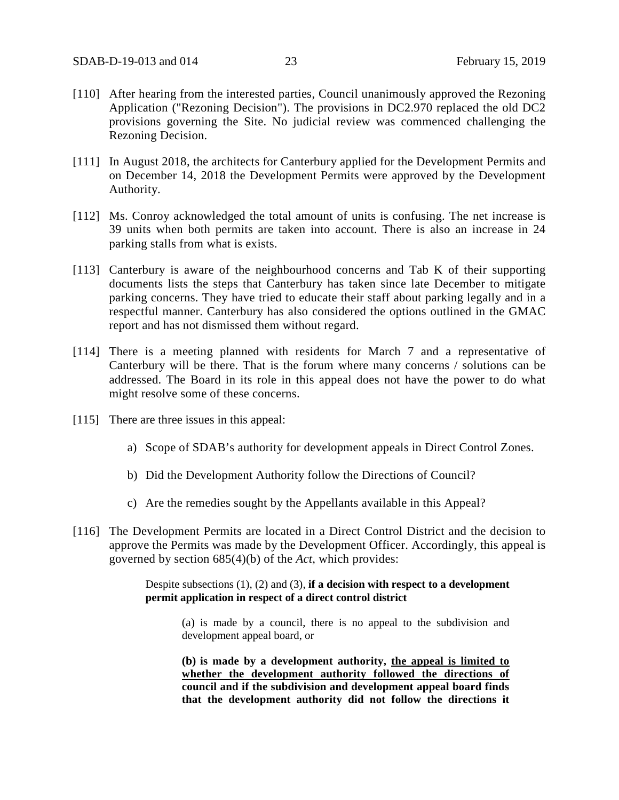- [110] After hearing from the interested parties, Council unanimously approved the Rezoning Application ("Rezoning Decision"). The provisions in DC2.970 replaced the old DC2 provisions governing the Site. No judicial review was commenced challenging the Rezoning Decision.
- [111] In August 2018, the architects for Canterbury applied for the Development Permits and on December 14, 2018 the Development Permits were approved by the Development Authority.
- [112] Ms. Conroy acknowledged the total amount of units is confusing. The net increase is 39 units when both permits are taken into account. There is also an increase in 24 parking stalls from what is exists.
- [113] Canterbury is aware of the neighbourhood concerns and Tab K of their supporting documents lists the steps that Canterbury has taken since late December to mitigate parking concerns. They have tried to educate their staff about parking legally and in a respectful manner. Canterbury has also considered the options outlined in the GMAC report and has not dismissed them without regard.
- [114] There is a meeting planned with residents for March 7 and a representative of Canterbury will be there. That is the forum where many concerns / solutions can be addressed. The Board in its role in this appeal does not have the power to do what might resolve some of these concerns.
- [115] There are three issues in this appeal:
	- a) Scope of SDAB's authority for development appeals in Direct Control Zones.
	- b) Did the Development Authority follow the Directions of Council?
	- c) Are the remedies sought by the Appellants available in this Appeal?
- [116] The Development Permits are located in a Direct Control District and the decision to approve the Permits was made by the Development Officer. Accordingly, this appeal is governed by section 685(4)(b) of the *Act*, which provides:

Despite subsections (1), (2) and (3), **if a decision with respect to a development permit application in respect of a direct control district**

(a) is made by a council, there is no appeal to the subdivision and development appeal board, or

**(b) is made by a development authority, the appeal is limited to whether the development authority followed the directions of council and if the subdivision and development appeal board finds that the development authority did not follow the directions it**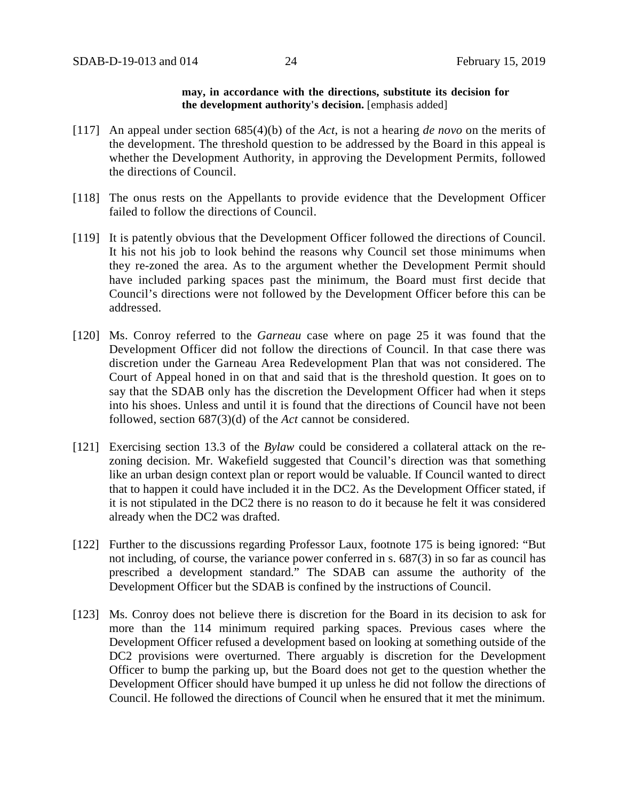#### **may, in accordance with the directions, substitute its decision for the development authority's decision.** [emphasis added]

- [117] An appeal under section 685(4)(b) of the *Act*, is not a hearing *de novo* on the merits of the development. The threshold question to be addressed by the Board in this appeal is whether the Development Authority, in approving the Development Permits, followed the directions of Council.
- [118] The onus rests on the Appellants to provide evidence that the Development Officer failed to follow the directions of Council.
- [119] It is patently obvious that the Development Officer followed the directions of Council. It his not his job to look behind the reasons why Council set those minimums when they re-zoned the area. As to the argument whether the Development Permit should have included parking spaces past the minimum, the Board must first decide that Council's directions were not followed by the Development Officer before this can be addressed.
- [120] Ms. Conroy referred to the *Garneau* case where on page 25 it was found that the Development Officer did not follow the directions of Council. In that case there was discretion under the Garneau Area Redevelopment Plan that was not considered. The Court of Appeal honed in on that and said that is the threshold question. It goes on to say that the SDAB only has the discretion the Development Officer had when it steps into his shoes. Unless and until it is found that the directions of Council have not been followed, section 687(3)(d) of the *Act* cannot be considered.
- [121] Exercising section 13.3 of the *Bylaw* could be considered a collateral attack on the rezoning decision. Mr. Wakefield suggested that Council's direction was that something like an urban design context plan or report would be valuable. If Council wanted to direct that to happen it could have included it in the DC2. As the Development Officer stated, if it is not stipulated in the DC2 there is no reason to do it because he felt it was considered already when the DC2 was drafted.
- [122] Further to the discussions regarding Professor Laux, footnote 175 is being ignored: "But not including, of course, the variance power conferred in s. 687(3) in so far as council has prescribed a development standard." The SDAB can assume the authority of the Development Officer but the SDAB is confined by the instructions of Council.
- [123] Ms. Conroy does not believe there is discretion for the Board in its decision to ask for more than the 114 minimum required parking spaces. Previous cases where the Development Officer refused a development based on looking at something outside of the DC2 provisions were overturned. There arguably is discretion for the Development Officer to bump the parking up, but the Board does not get to the question whether the Development Officer should have bumped it up unless he did not follow the directions of Council. He followed the directions of Council when he ensured that it met the minimum.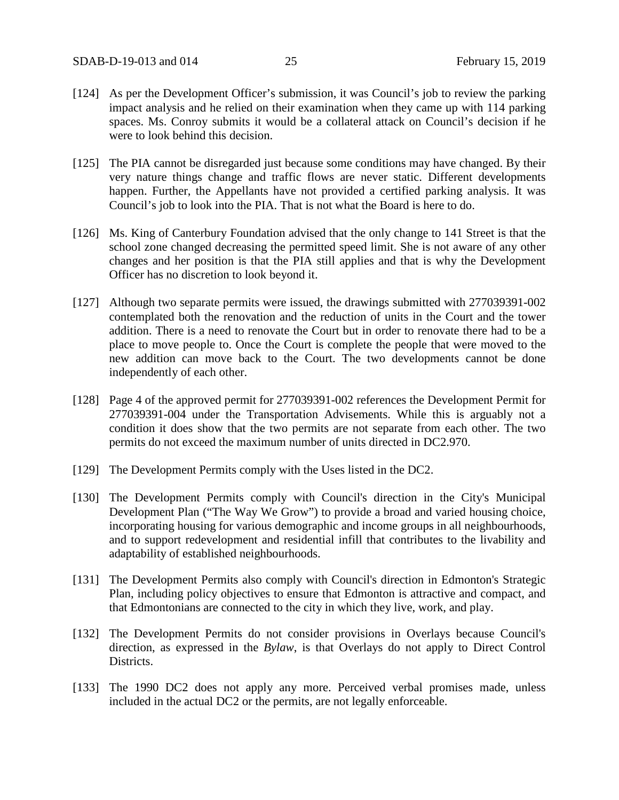- [124] As per the Development Officer's submission, it was Council's job to review the parking impact analysis and he relied on their examination when they came up with 114 parking spaces. Ms. Conroy submits it would be a collateral attack on Council's decision if he were to look behind this decision.
- [125] The PIA cannot be disregarded just because some conditions may have changed. By their very nature things change and traffic flows are never static. Different developments happen. Further, the Appellants have not provided a certified parking analysis. It was Council's job to look into the PIA. That is not what the Board is here to do.
- [126] Ms. King of Canterbury Foundation advised that the only change to 141 Street is that the school zone changed decreasing the permitted speed limit. She is not aware of any other changes and her position is that the PIA still applies and that is why the Development Officer has no discretion to look beyond it.
- [127] Although two separate permits were issued, the drawings submitted with 277039391-002 contemplated both the renovation and the reduction of units in the Court and the tower addition. There is a need to renovate the Court but in order to renovate there had to be a place to move people to. Once the Court is complete the people that were moved to the new addition can move back to the Court. The two developments cannot be done independently of each other.
- [128] Page 4 of the approved permit for 277039391-002 references the Development Permit for 277039391-004 under the Transportation Advisements. While this is arguably not a condition it does show that the two permits are not separate from each other. The two permits do not exceed the maximum number of units directed in DC2.970.
- [129] The Development Permits comply with the Uses listed in the DC2.
- [130] The Development Permits comply with Council's direction in the City's Municipal Development Plan ("The Way We Grow") to provide a broad and varied housing choice, incorporating housing for various demographic and income groups in all neighbourhoods, and to support redevelopment and residential infill that contributes to the livability and adaptability of established neighbourhoods.
- [131] The Development Permits also comply with Council's direction in Edmonton's Strategic Plan, including policy objectives to ensure that Edmonton is attractive and compact, and that Edmontonians are connected to the city in which they live, work, and play.
- [132] The Development Permits do not consider provisions in Overlays because Council's direction, as expressed in the *Bylaw*, is that Overlays do not apply to Direct Control Districts.
- [133] The 1990 DC2 does not apply any more. Perceived verbal promises made, unless included in the actual DC2 or the permits, are not legally enforceable.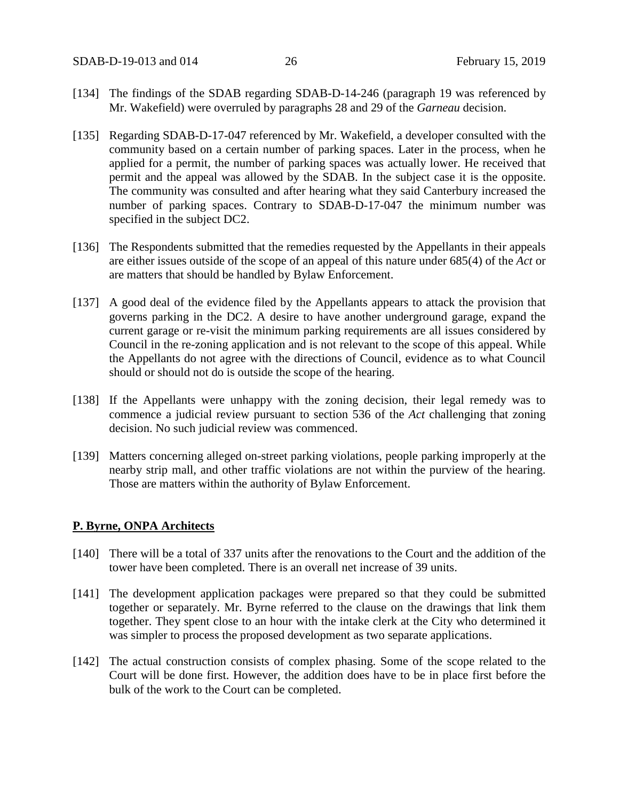- [134] The findings of the SDAB regarding SDAB-D-14-246 (paragraph 19 was referenced by Mr. Wakefield) were overruled by paragraphs 28 and 29 of the *Garneau* decision.
- [135] Regarding SDAB-D-17-047 referenced by Mr. Wakefield, a developer consulted with the community based on a certain number of parking spaces. Later in the process, when he applied for a permit, the number of parking spaces was actually lower. He received that permit and the appeal was allowed by the SDAB. In the subject case it is the opposite. The community was consulted and after hearing what they said Canterbury increased the number of parking spaces. Contrary to SDAB-D-17-047 the minimum number was specified in the subject DC2.
- [136] The Respondents submitted that the remedies requested by the Appellants in their appeals are either issues outside of the scope of an appeal of this nature under 685(4) of the *Act* or are matters that should be handled by Bylaw Enforcement.
- [137] A good deal of the evidence filed by the Appellants appears to attack the provision that governs parking in the DC2. A desire to have another underground garage, expand the current garage or re-visit the minimum parking requirements are all issues considered by Council in the re-zoning application and is not relevant to the scope of this appeal. While the Appellants do not agree with the directions of Council, evidence as to what Council should or should not do is outside the scope of the hearing.
- [138] If the Appellants were unhappy with the zoning decision, their legal remedy was to commence a judicial review pursuant to section 536 of the *Act* challenging that zoning decision. No such judicial review was commenced.
- [139] Matters concerning alleged on-street parking violations, people parking improperly at the nearby strip mall, and other traffic violations are not within the purview of the hearing. Those are matters within the authority of Bylaw Enforcement.

#### **P. Byrne, ONPA Architects**

- [140] There will be a total of 337 units after the renovations to the Court and the addition of the tower have been completed. There is an overall net increase of 39 units.
- [141] The development application packages were prepared so that they could be submitted together or separately. Mr. Byrne referred to the clause on the drawings that link them together. They spent close to an hour with the intake clerk at the City who determined it was simpler to process the proposed development as two separate applications.
- [142] The actual construction consists of complex phasing. Some of the scope related to the Court will be done first. However, the addition does have to be in place first before the bulk of the work to the Court can be completed.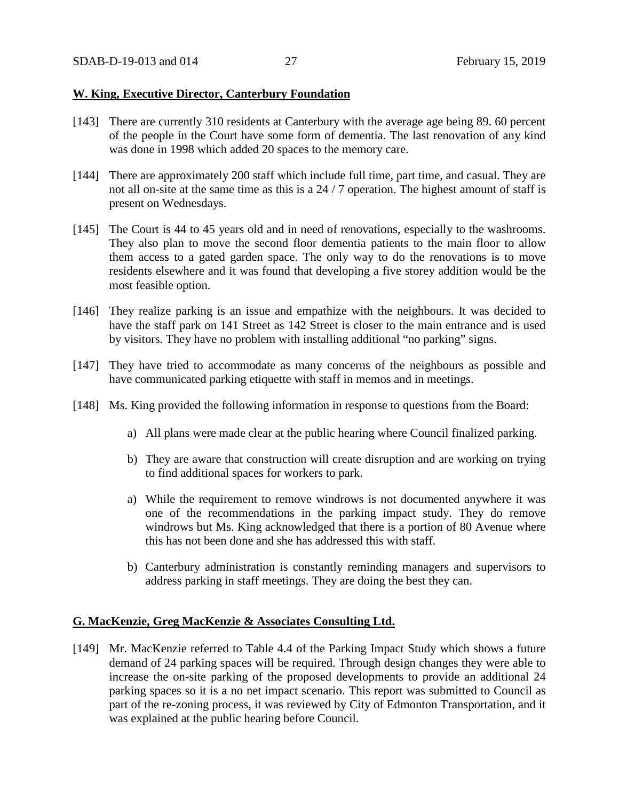#### **W. King, Executive Director, Canterbury Foundation**

- [143] There are currently 310 residents at Canterbury with the average age being 89. 60 percent of the people in the Court have some form of dementia. The last renovation of any kind was done in 1998 which added 20 spaces to the memory care.
- [144] There are approximately 200 staff which include full time, part time, and casual. They are not all on-site at the same time as this is a 24 / 7 operation. The highest amount of staff is present on Wednesdays.
- [145] The Court is 44 to 45 years old and in need of renovations, especially to the washrooms. They also plan to move the second floor dementia patients to the main floor to allow them access to a gated garden space. The only way to do the renovations is to move residents elsewhere and it was found that developing a five storey addition would be the most feasible option.
- [146] They realize parking is an issue and empathize with the neighbours. It was decided to have the staff park on 141 Street as 142 Street is closer to the main entrance and is used by visitors. They have no problem with installing additional "no parking" signs.
- [147] They have tried to accommodate as many concerns of the neighbours as possible and have communicated parking etiquette with staff in memos and in meetings.
- [148] Ms. King provided the following information in response to questions from the Board:
	- a) All plans were made clear at the public hearing where Council finalized parking.
	- b) They are aware that construction will create disruption and are working on trying to find additional spaces for workers to park.
	- a) While the requirement to remove windrows is not documented anywhere it was one of the recommendations in the parking impact study. They do remove windrows but Ms. King acknowledged that there is a portion of 80 Avenue where this has not been done and she has addressed this with staff.
	- b) Canterbury administration is constantly reminding managers and supervisors to address parking in staff meetings. They are doing the best they can.

#### **G. MacKenzie, Greg MacKenzie & Associates Consulting Ltd.**

[149] Mr. MacKenzie referred to Table 4.4 of the Parking Impact Study which shows a future demand of 24 parking spaces will be required. Through design changes they were able to increase the on-site parking of the proposed developments to provide an additional 24 parking spaces so it is a no net impact scenario. This report was submitted to Council as part of the re-zoning process, it was reviewed by City of Edmonton Transportation, and it was explained at the public hearing before Council.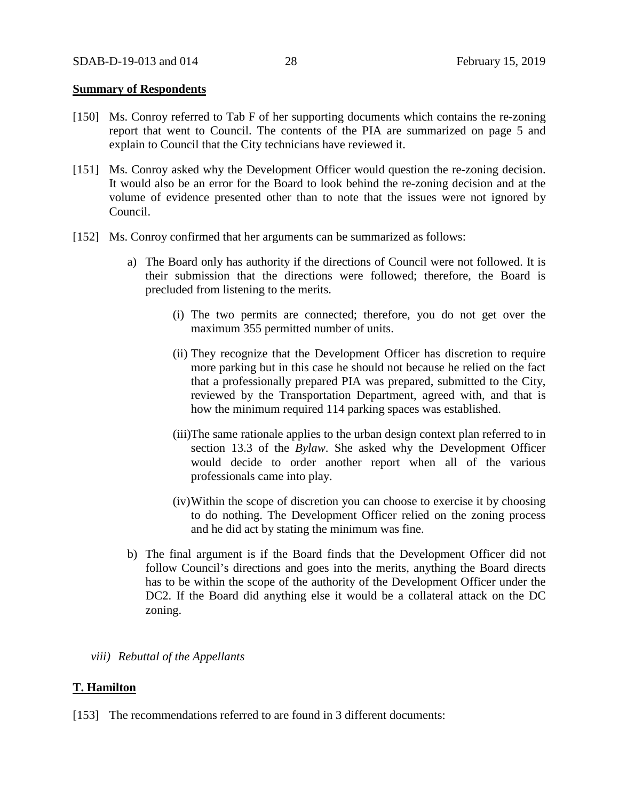#### **Summary of Respondents**

- [150] Ms. Conroy referred to Tab F of her supporting documents which contains the re-zoning report that went to Council. The contents of the PIA are summarized on page 5 and explain to Council that the City technicians have reviewed it.
- [151] Ms. Conroy asked why the Development Officer would question the re-zoning decision. It would also be an error for the Board to look behind the re-zoning decision and at the volume of evidence presented other than to note that the issues were not ignored by Council.
- [152] Ms. Conroy confirmed that her arguments can be summarized as follows:
	- a) The Board only has authority if the directions of Council were not followed. It is their submission that the directions were followed; therefore, the Board is precluded from listening to the merits.
		- (i) The two permits are connected; therefore, you do not get over the maximum 355 permitted number of units.
		- (ii) They recognize that the Development Officer has discretion to require more parking but in this case he should not because he relied on the fact that a professionally prepared PIA was prepared, submitted to the City, reviewed by the Transportation Department, agreed with, and that is how the minimum required 114 parking spaces was established.
		- (iii)The same rationale applies to the urban design context plan referred to in section 13.3 of the *Bylaw*. She asked why the Development Officer would decide to order another report when all of the various professionals came into play.
		- (iv)Within the scope of discretion you can choose to exercise it by choosing to do nothing. The Development Officer relied on the zoning process and he did act by stating the minimum was fine.
	- b) The final argument is if the Board finds that the Development Officer did not follow Council's directions and goes into the merits, anything the Board directs has to be within the scope of the authority of the Development Officer under the DC2. If the Board did anything else it would be a collateral attack on the DC zoning.
	- *viii) Rebuttal of the Appellants*

#### **T. Hamilton**

[153] The recommendations referred to are found in 3 different documents: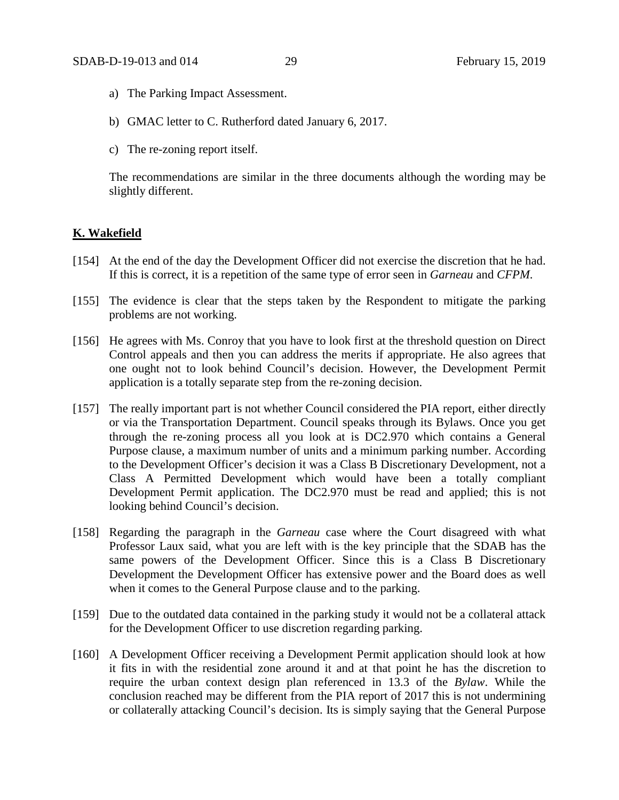- a) The Parking Impact Assessment.
- b) GMAC letter to C. Rutherford dated January 6, 2017.
- c) The re-zoning report itself.

The recommendations are similar in the three documents although the wording may be slightly different.

## **K. Wakefield**

- [154] At the end of the day the Development Officer did not exercise the discretion that he had. If this is correct, it is a repetition of the same type of error seen in *Garneau* and *CFPM*.
- [155] The evidence is clear that the steps taken by the Respondent to mitigate the parking problems are not working.
- [156] He agrees with Ms. Conroy that you have to look first at the threshold question on Direct Control appeals and then you can address the merits if appropriate. He also agrees that one ought not to look behind Council's decision. However, the Development Permit application is a totally separate step from the re-zoning decision.
- [157] The really important part is not whether Council considered the PIA report, either directly or via the Transportation Department. Council speaks through its Bylaws. Once you get through the re-zoning process all you look at is DC2.970 which contains a General Purpose clause, a maximum number of units and a minimum parking number. According to the Development Officer's decision it was a Class B Discretionary Development, not a Class A Permitted Development which would have been a totally compliant Development Permit application. The DC2.970 must be read and applied; this is not looking behind Council's decision.
- [158] Regarding the paragraph in the *Garneau* case where the Court disagreed with what Professor Laux said, what you are left with is the key principle that the SDAB has the same powers of the Development Officer. Since this is a Class B Discretionary Development the Development Officer has extensive power and the Board does as well when it comes to the General Purpose clause and to the parking.
- [159] Due to the outdated data contained in the parking study it would not be a collateral attack for the Development Officer to use discretion regarding parking.
- [160] A Development Officer receiving a Development Permit application should look at how it fits in with the residential zone around it and at that point he has the discretion to require the urban context design plan referenced in 13.3 of the *Bylaw*. While the conclusion reached may be different from the PIA report of 2017 this is not undermining or collaterally attacking Council's decision. Its is simply saying that the General Purpose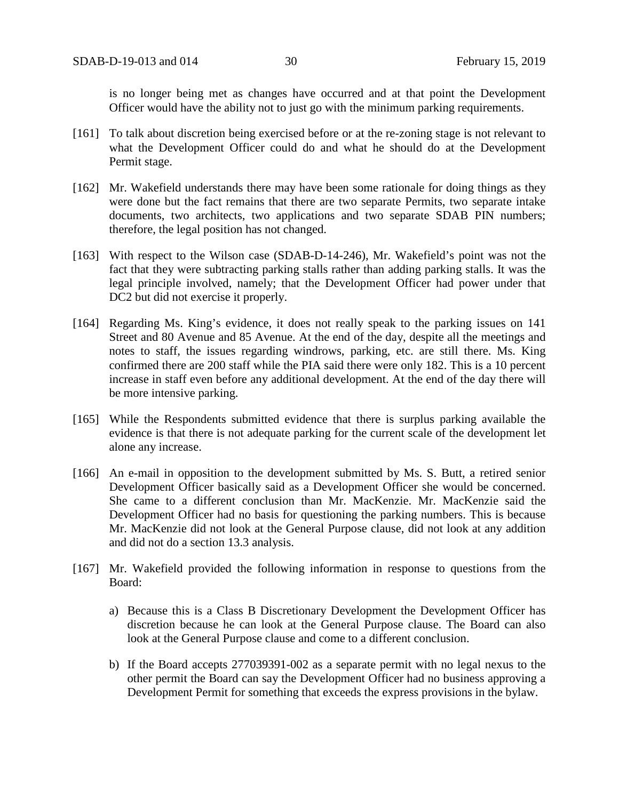is no longer being met as changes have occurred and at that point the Development Officer would have the ability not to just go with the minimum parking requirements.

- [161] To talk about discretion being exercised before or at the re-zoning stage is not relevant to what the Development Officer could do and what he should do at the Development Permit stage.
- [162] Mr. Wakefield understands there may have been some rationale for doing things as they were done but the fact remains that there are two separate Permits, two separate intake documents, two architects, two applications and two separate SDAB PIN numbers; therefore, the legal position has not changed.
- [163] With respect to the Wilson case (SDAB-D-14-246), Mr. Wakefield's point was not the fact that they were subtracting parking stalls rather than adding parking stalls. It was the legal principle involved, namely; that the Development Officer had power under that DC2 but did not exercise it properly.
- [164] Regarding Ms. King's evidence, it does not really speak to the parking issues on 141 Street and 80 Avenue and 85 Avenue. At the end of the day, despite all the meetings and notes to staff, the issues regarding windrows, parking, etc. are still there. Ms. King confirmed there are 200 staff while the PIA said there were only 182. This is a 10 percent increase in staff even before any additional development. At the end of the day there will be more intensive parking.
- [165] While the Respondents submitted evidence that there is surplus parking available the evidence is that there is not adequate parking for the current scale of the development let alone any increase.
- [166] An e-mail in opposition to the development submitted by Ms. S. Butt, a retired senior Development Officer basically said as a Development Officer she would be concerned. She came to a different conclusion than Mr. MacKenzie. Mr. MacKenzie said the Development Officer had no basis for questioning the parking numbers. This is because Mr. MacKenzie did not look at the General Purpose clause, did not look at any addition and did not do a section 13.3 analysis.
- [167] Mr. Wakefield provided the following information in response to questions from the Board:
	- a) Because this is a Class B Discretionary Development the Development Officer has discretion because he can look at the General Purpose clause. The Board can also look at the General Purpose clause and come to a different conclusion.
	- b) If the Board accepts 277039391-002 as a separate permit with no legal nexus to the other permit the Board can say the Development Officer had no business approving a Development Permit for something that exceeds the express provisions in the bylaw.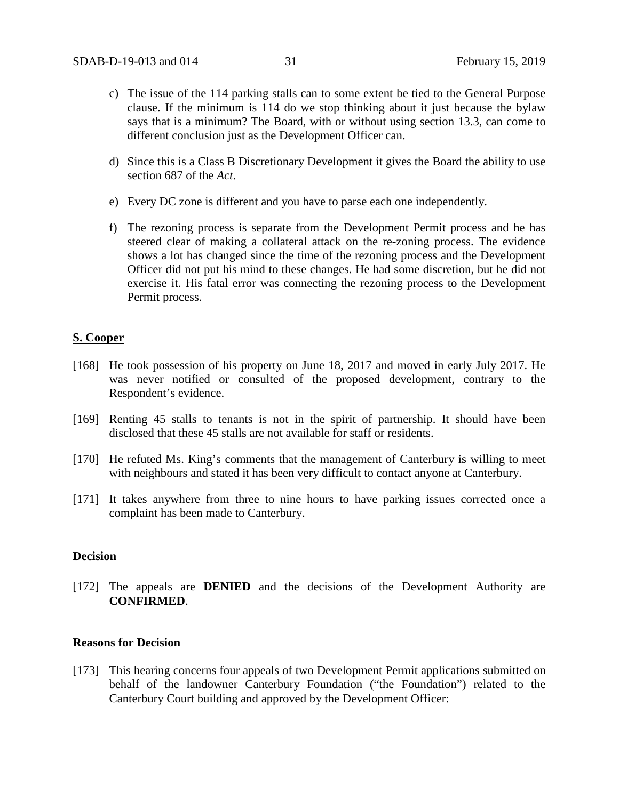- c) The issue of the 114 parking stalls can to some extent be tied to the General Purpose clause. If the minimum is 114 do we stop thinking about it just because the bylaw says that is a minimum? The Board, with or without using section 13.3, can come to different conclusion just as the Development Officer can.
- d) Since this is a Class B Discretionary Development it gives the Board the ability to use section 687 of the *Act*.
- e) Every DC zone is different and you have to parse each one independently.
- f) The rezoning process is separate from the Development Permit process and he has steered clear of making a collateral attack on the re-zoning process. The evidence shows a lot has changed since the time of the rezoning process and the Development Officer did not put his mind to these changes. He had some discretion, but he did not exercise it. His fatal error was connecting the rezoning process to the Development Permit process.

## **S. Cooper**

- [168] He took possession of his property on June 18, 2017 and moved in early July 2017. He was never notified or consulted of the proposed development, contrary to the Respondent's evidence.
- [169] Renting 45 stalls to tenants is not in the spirit of partnership. It should have been disclosed that these 45 stalls are not available for staff or residents.
- [170] He refuted Ms. King's comments that the management of Canterbury is willing to meet with neighbours and stated it has been very difficult to contact anyone at Canterbury.
- [171] It takes anywhere from three to nine hours to have parking issues corrected once a complaint has been made to Canterbury.

## **Decision**

[172] The appeals are **DENIED** and the decisions of the Development Authority are **CONFIRMED**.

#### **Reasons for Decision**

[173] This hearing concerns four appeals of two Development Permit applications submitted on behalf of the landowner Canterbury Foundation ("the Foundation") related to the Canterbury Court building and approved by the Development Officer: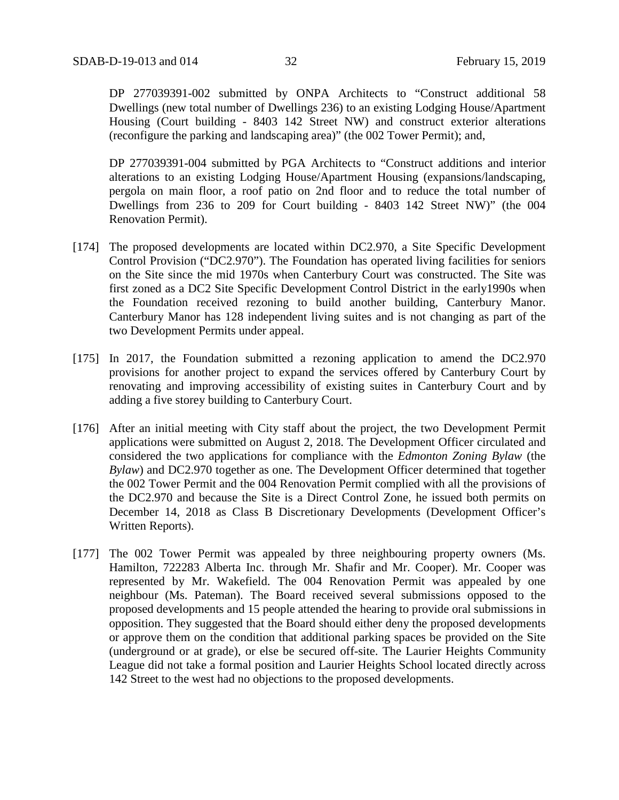DP 277039391-002 submitted by ONPA Architects to "Construct additional 58 Dwellings (new total number of Dwellings 236) to an existing Lodging House/Apartment Housing (Court building - 8403 142 Street NW) and construct exterior alterations (reconfigure the parking and landscaping area)" (the 002 Tower Permit); and,

DP 277039391-004 submitted by PGA Architects to "Construct additions and interior alterations to an existing Lodging House/Apartment Housing (expansions/landscaping, pergola on main floor, a roof patio on 2nd floor and to reduce the total number of Dwellings from 236 to 209 for Court building - 8403 142 Street NW)" (the 004 Renovation Permit).

- [174] The proposed developments are located within DC2.970, a Site Specific Development Control Provision ("DC2.970"). The Foundation has operated living facilities for seniors on the Site since the mid 1970s when Canterbury Court was constructed. The Site was first zoned as a DC2 Site Specific Development Control District in the early1990s when the Foundation received rezoning to build another building, Canterbury Manor. Canterbury Manor has 128 independent living suites and is not changing as part of the two Development Permits under appeal.
- [175] In 2017, the Foundation submitted a rezoning application to amend the DC2.970 provisions for another project to expand the services offered by Canterbury Court by renovating and improving accessibility of existing suites in Canterbury Court and by adding a five storey building to Canterbury Court.
- [176] After an initial meeting with City staff about the project, the two Development Permit applications were submitted on August 2, 2018. The Development Officer circulated and considered the two applications for compliance with the *Edmonton Zoning Bylaw* (the *Bylaw*) and DC2.970 together as one. The Development Officer determined that together the 002 Tower Permit and the 004 Renovation Permit complied with all the provisions of the DC2.970 and because the Site is a Direct Control Zone, he issued both permits on December 14, 2018 as Class B Discretionary Developments (Development Officer's Written Reports).
- [177] The 002 Tower Permit was appealed by three neighbouring property owners (Ms. Hamilton, 722283 Alberta Inc. through Mr. Shafir and Mr. Cooper). Mr. Cooper was represented by Mr. Wakefield. The 004 Renovation Permit was appealed by one neighbour (Ms. Pateman). The Board received several submissions opposed to the proposed developments and 15 people attended the hearing to provide oral submissions in opposition. They suggested that the Board should either deny the proposed developments or approve them on the condition that additional parking spaces be provided on the Site (underground or at grade), or else be secured off-site. The Laurier Heights Community League did not take a formal position and Laurier Heights School located directly across 142 Street to the west had no objections to the proposed developments.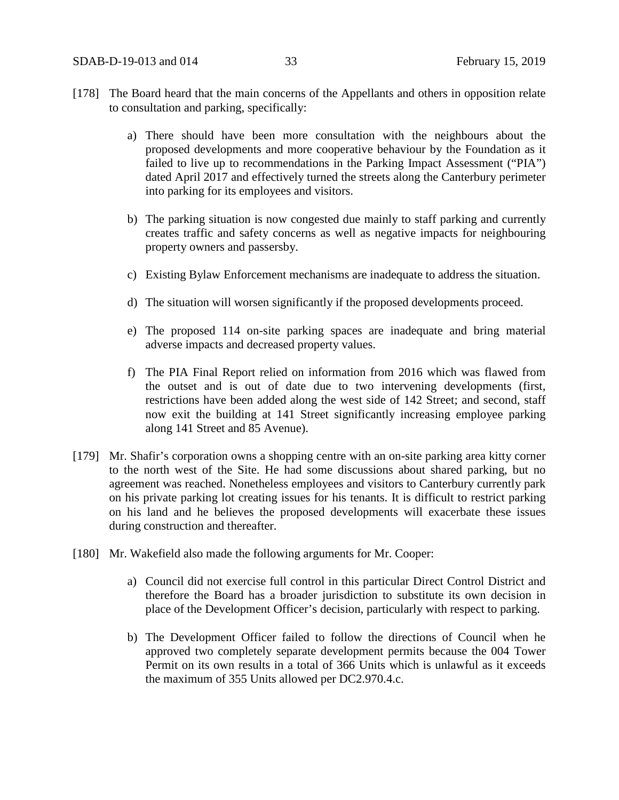- [178] The Board heard that the main concerns of the Appellants and others in opposition relate to consultation and parking, specifically:
	- a) There should have been more consultation with the neighbours about the proposed developments and more cooperative behaviour by the Foundation as it failed to live up to recommendations in the Parking Impact Assessment ("PIA") dated April 2017 and effectively turned the streets along the Canterbury perimeter into parking for its employees and visitors.
	- b) The parking situation is now congested due mainly to staff parking and currently creates traffic and safety concerns as well as negative impacts for neighbouring property owners and passersby.
	- c) Existing Bylaw Enforcement mechanisms are inadequate to address the situation.
	- d) The situation will worsen significantly if the proposed developments proceed.
	- e) The proposed 114 on-site parking spaces are inadequate and bring material adverse impacts and decreased property values.
	- f) The PIA Final Report relied on information from 2016 which was flawed from the outset and is out of date due to two intervening developments (first, restrictions have been added along the west side of 142 Street; and second, staff now exit the building at 141 Street significantly increasing employee parking along 141 Street and 85 Avenue).
- [179] Mr. Shafir's corporation owns a shopping centre with an on-site parking area kitty corner to the north west of the Site. He had some discussions about shared parking, but no agreement was reached. Nonetheless employees and visitors to Canterbury currently park on his private parking lot creating issues for his tenants. It is difficult to restrict parking on his land and he believes the proposed developments will exacerbate these issues during construction and thereafter.
- [180] Mr. Wakefield also made the following arguments for Mr. Cooper:
	- a) Council did not exercise full control in this particular Direct Control District and therefore the Board has a broader jurisdiction to substitute its own decision in place of the Development Officer's decision, particularly with respect to parking.
	- b) The Development Officer failed to follow the directions of Council when he approved two completely separate development permits because the 004 Tower Permit on its own results in a total of 366 Units which is unlawful as it exceeds the maximum of 355 Units allowed per DC2.970.4.c.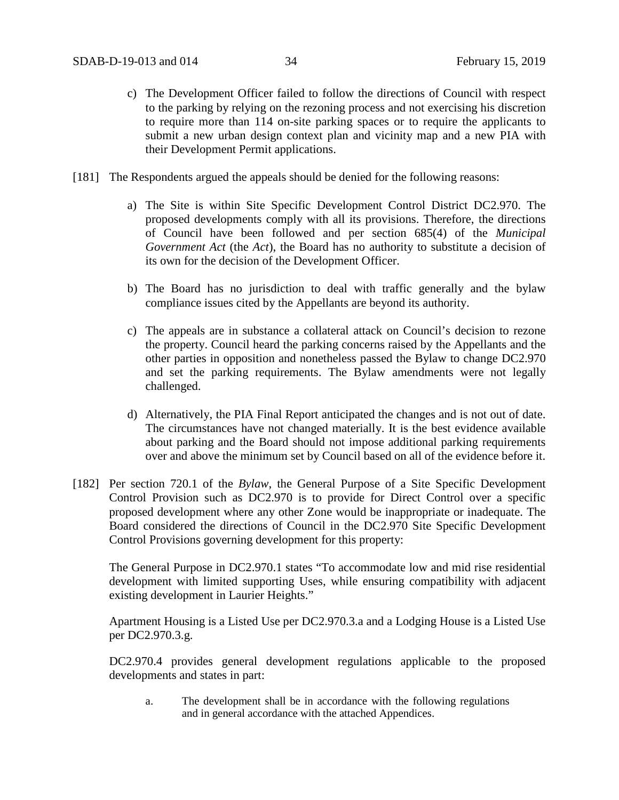- c) The Development Officer failed to follow the directions of Council with respect to the parking by relying on the rezoning process and not exercising his discretion to require more than 114 on-site parking spaces or to require the applicants to submit a new urban design context plan and vicinity map and a new PIA with their Development Permit applications.
- [181] The Respondents argued the appeals should be denied for the following reasons:
	- a) The Site is within Site Specific Development Control District DC2.970. The proposed developments comply with all its provisions. Therefore, the directions of Council have been followed and per section 685(4) of the *Municipal Government Act* (the *Act*), the Board has no authority to substitute a decision of its own for the decision of the Development Officer.
	- b) The Board has no jurisdiction to deal with traffic generally and the bylaw compliance issues cited by the Appellants are beyond its authority.
	- c) The appeals are in substance a collateral attack on Council's decision to rezone the property. Council heard the parking concerns raised by the Appellants and the other parties in opposition and nonetheless passed the Bylaw to change DC2.970 and set the parking requirements. The Bylaw amendments were not legally challenged.
	- d) Alternatively, the PIA Final Report anticipated the changes and is not out of date. The circumstances have not changed materially. It is the best evidence available about parking and the Board should not impose additional parking requirements over and above the minimum set by Council based on all of the evidence before it.
- [182] Per section 720.1 of the *Bylaw*, the General Purpose of a Site Specific Development Control Provision such as DC2.970 is to provide for Direct Control over a specific proposed development where any other Zone would be inappropriate or inadequate. The Board considered the directions of Council in the DC2.970 Site Specific Development Control Provisions governing development for this property:

The General Purpose in DC2.970.1 states "To accommodate low and mid rise residential development with limited supporting Uses, while ensuring compatibility with adjacent existing development in Laurier Heights."

Apartment Housing is a Listed Use per DC2.970.3.a and a Lodging House is a Listed Use per DC2.970.3.g.

DC2.970.4 provides general development regulations applicable to the proposed developments and states in part:

a. The development shall be in accordance with the following regulations and in general accordance with the attached Appendices.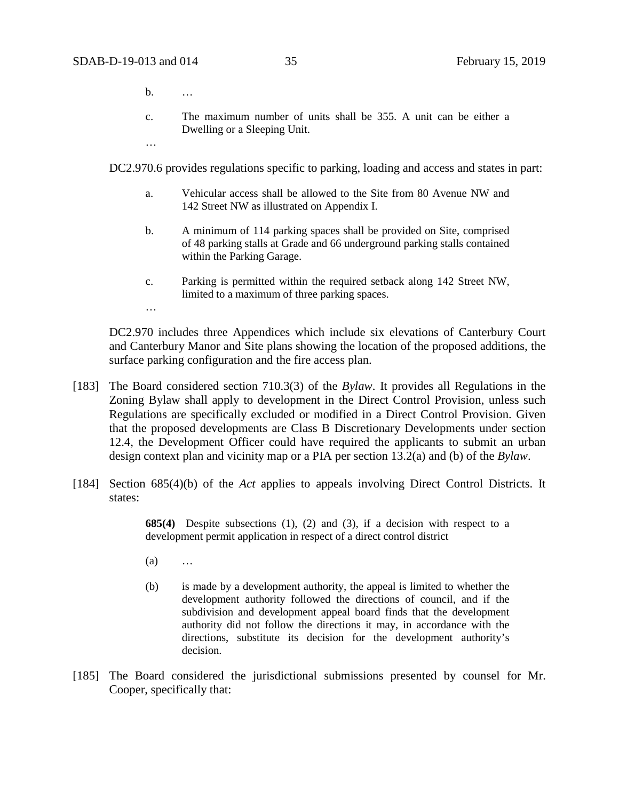…

…

- b. …
- c. The maximum number of units shall be 355. A unit can be either a Dwelling or a Sleeping Unit.

DC2.970.6 provides regulations specific to parking, loading and access and states in part:

- a. Vehicular access shall be allowed to the Site from 80 Avenue NW and 142 Street NW as illustrated on Appendix I.
- b. A minimum of 114 parking spaces shall be provided on Site, comprised of 48 parking stalls at Grade and 66 underground parking stalls contained within the Parking Garage.
- c. Parking is permitted within the required setback along 142 Street NW, limited to a maximum of three parking spaces.

DC2.970 includes three Appendices which include six elevations of Canterbury Court and Canterbury Manor and Site plans showing the location of the proposed additions, the surface parking configuration and the fire access plan.

- [183] The Board considered section 710.3(3) of the *Bylaw*. It provides all Regulations in the Zoning Bylaw shall apply to development in the Direct Control Provision, unless such Regulations are specifically excluded or modified in a Direct Control Provision. Given that the proposed developments are Class B Discretionary Developments under section 12.4, the Development Officer could have required the applicants to submit an urban design context plan and vicinity map or a PIA per section 13.2(a) and (b) of the *Bylaw*.
- [184] Section 685(4)(b) of the *Act* applies to appeals involving Direct Control Districts. It states:

**685(4)** Despite subsections (1), (2) and (3), if a decision with respect to a development permit application in respect of a direct control district

- (a) …
- (b) is made by a development authority, the appeal is limited to whether the development authority followed the directions of council, and if the subdivision and development appeal board finds that the development authority did not follow the directions it may, in accordance with the directions, substitute its decision for the development authority's decision.
- [185] The Board considered the jurisdictional submissions presented by counsel for Mr. Cooper, specifically that: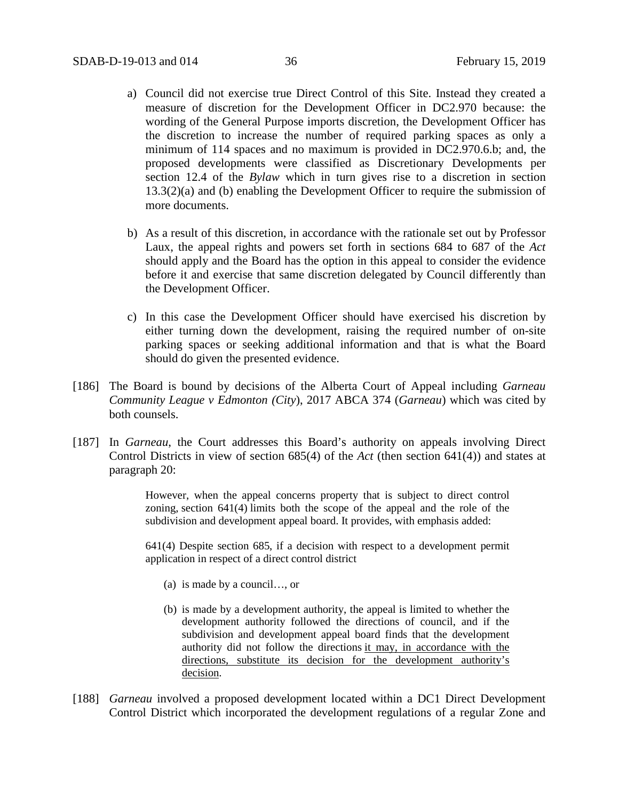- a) Council did not exercise true Direct Control of this Site. Instead they created a measure of discretion for the Development Officer in DC2.970 because: the wording of the General Purpose imports discretion, the Development Officer has the discretion to increase the number of required parking spaces as only a minimum of 114 spaces and no maximum is provided in DC2.970.6.b; and, the proposed developments were classified as Discretionary Developments per section 12.4 of the *Bylaw* which in turn gives rise to a discretion in section 13.3(2)(a) and (b) enabling the Development Officer to require the submission of more documents.
- b) As a result of this discretion, in accordance with the rationale set out by Professor Laux, the appeal rights and powers set forth in sections 684 to 687 of the *Act*  should apply and the Board has the option in this appeal to consider the evidence before it and exercise that same discretion delegated by Council differently than the Development Officer.
- c) In this case the Development Officer should have exercised his discretion by either turning down the development, raising the required number of on-site parking spaces or seeking additional information and that is what the Board should do given the presented evidence.
- [186] The Board is bound by decisions of the Alberta Court of Appeal including *Garneau Community League v Edmonton (City*), 2017 ABCA 374 (*Garneau*) which was cited by both counsels.
- [187] In *Garneau*, the Court addresses this Board's authority on appeals involving Direct Control Districts in view of section 685(4) of the *Act* (then section 641(4)) and states at paragraph 20:

However, when the appeal concerns property that is subject to direct control zoning, [section 641\(4\)](https://www.canlii.org/en/ab/laws/stat/rsa-2000-c-m-26/latest/rsa-2000-c-m-26.html%23sec641subsec4_smooth) limits both the scope of the appeal and the role of the subdivision and development appeal board. It provides, with emphasis added:

641(4) Despite section 685, if a decision with respect to a development permit application in respect of a direct control district

- (a) is made by a council…, or
- (b) is made by a development authority, the appeal is limited to whether the development authority followed the directions of council, and if the subdivision and development appeal board finds that the development authority did not follow the directions it may, in accordance with the directions, substitute its decision for the development authority's decision.
- [188] *Garneau* involved a proposed development located within a DC1 Direct Development Control District which incorporated the development regulations of a regular Zone and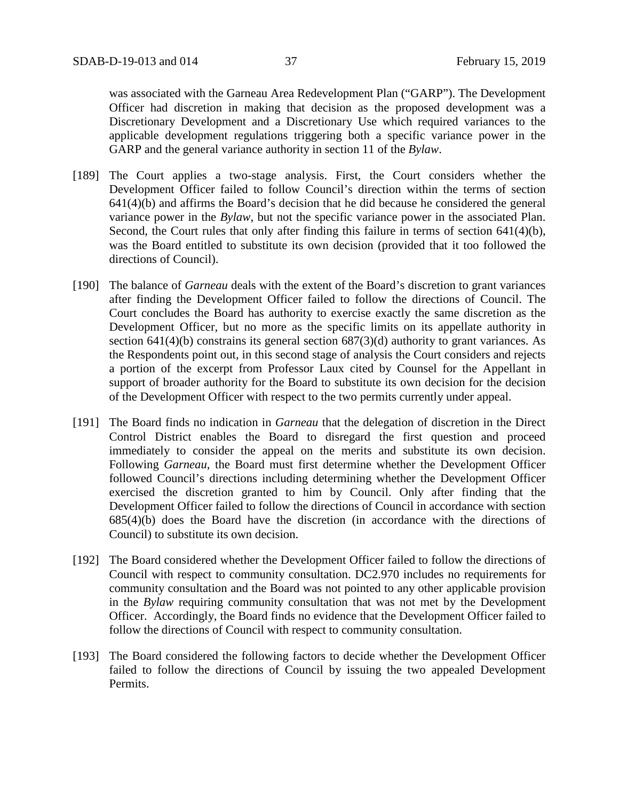was associated with the Garneau Area Redevelopment Plan ("GARP"). The Development Officer had discretion in making that decision as the proposed development was a Discretionary Development and a Discretionary Use which required variances to the applicable development regulations triggering both a specific variance power in the GARP and the general variance authority in section 11 of the *Bylaw*.

- [189] The Court applies a two-stage analysis. First, the Court considers whether the Development Officer failed to follow Council's direction within the terms of section 641(4)(b) and affirms the Board's decision that he did because he considered the general variance power in the *Bylaw*, but not the specific variance power in the associated Plan. Second, the Court rules that only after finding this failure in terms of section 641(4)(b), was the Board entitled to substitute its own decision (provided that it too followed the directions of Council).
- [190] The balance of *Garneau* deals with the extent of the Board's discretion to grant variances after finding the Development Officer failed to follow the directions of Council. The Court concludes the Board has authority to exercise exactly the same discretion as the Development Officer, but no more as the specific limits on its appellate authority in section 641(4)(b) constrains its general section 687(3)(d) authority to grant variances. As the Respondents point out, in this second stage of analysis the Court considers and rejects a portion of the excerpt from Professor Laux cited by Counsel for the Appellant in support of broader authority for the Board to substitute its own decision for the decision of the Development Officer with respect to the two permits currently under appeal.
- [191] The Board finds no indication in *Garneau* that the delegation of discretion in the Direct Control District enables the Board to disregard the first question and proceed immediately to consider the appeal on the merits and substitute its own decision. Following *Garneau*, the Board must first determine whether the Development Officer followed Council's directions including determining whether the Development Officer exercised the discretion granted to him by Council. Only after finding that the Development Officer failed to follow the directions of Council in accordance with section 685(4)(b) does the Board have the discretion (in accordance with the directions of Council) to substitute its own decision.
- [192] The Board considered whether the Development Officer failed to follow the directions of Council with respect to community consultation. DC2.970 includes no requirements for community consultation and the Board was not pointed to any other applicable provision in the *Bylaw* requiring community consultation that was not met by the Development Officer. Accordingly, the Board finds no evidence that the Development Officer failed to follow the directions of Council with respect to community consultation.
- [193] The Board considered the following factors to decide whether the Development Officer failed to follow the directions of Council by issuing the two appealed Development Permits.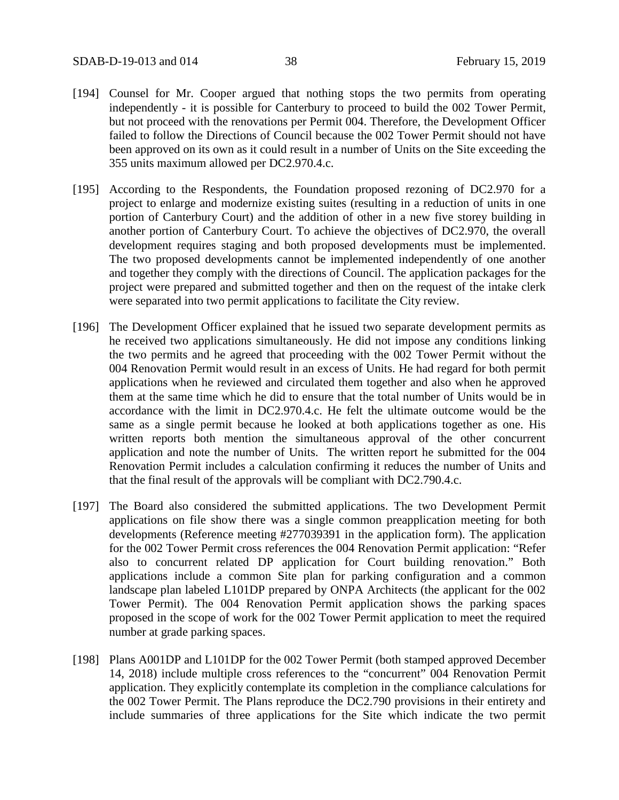- [194] Counsel for Mr. Cooper argued that nothing stops the two permits from operating independently - it is possible for Canterbury to proceed to build the 002 Tower Permit, but not proceed with the renovations per Permit 004. Therefore, the Development Officer failed to follow the Directions of Council because the 002 Tower Permit should not have been approved on its own as it could result in a number of Units on the Site exceeding the 355 units maximum allowed per DC2.970.4.c.
- [195] According to the Respondents, the Foundation proposed rezoning of DC2.970 for a project to enlarge and modernize existing suites (resulting in a reduction of units in one portion of Canterbury Court) and the addition of other in a new five storey building in another portion of Canterbury Court. To achieve the objectives of DC2.970, the overall development requires staging and both proposed developments must be implemented. The two proposed developments cannot be implemented independently of one another and together they comply with the directions of Council. The application packages for the project were prepared and submitted together and then on the request of the intake clerk were separated into two permit applications to facilitate the City review.
- [196] The Development Officer explained that he issued two separate development permits as he received two applications simultaneously. He did not impose any conditions linking the two permits and he agreed that proceeding with the 002 Tower Permit without the 004 Renovation Permit would result in an excess of Units. He had regard for both permit applications when he reviewed and circulated them together and also when he approved them at the same time which he did to ensure that the total number of Units would be in accordance with the limit in DC2.970.4.c. He felt the ultimate outcome would be the same as a single permit because he looked at both applications together as one. His written reports both mention the simultaneous approval of the other concurrent application and note the number of Units. The written report he submitted for the 004 Renovation Permit includes a calculation confirming it reduces the number of Units and that the final result of the approvals will be compliant with DC2.790.4.c.
- [197] The Board also considered the submitted applications. The two Development Permit applications on file show there was a single common preapplication meeting for both developments (Reference meeting #277039391 in the application form). The application for the 002 Tower Permit cross references the 004 Renovation Permit application: "Refer also to concurrent related DP application for Court building renovation." Both applications include a common Site plan for parking configuration and a common landscape plan labeled L101DP prepared by ONPA Architects (the applicant for the 002 Tower Permit). The 004 Renovation Permit application shows the parking spaces proposed in the scope of work for the 002 Tower Permit application to meet the required number at grade parking spaces.
- [198] Plans A001DP and L101DP for the 002 Tower Permit (both stamped approved December 14, 2018) include multiple cross references to the "concurrent" 004 Renovation Permit application. They explicitly contemplate its completion in the compliance calculations for the 002 Tower Permit. The Plans reproduce the DC2.790 provisions in their entirety and include summaries of three applications for the Site which indicate the two permit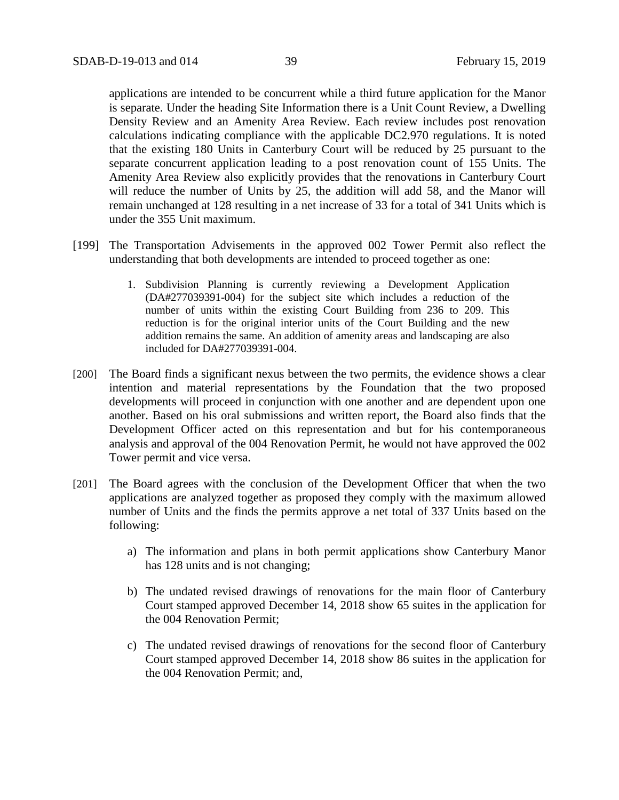applications are intended to be concurrent while a third future application for the Manor is separate. Under the heading Site Information there is a Unit Count Review, a Dwelling Density Review and an Amenity Area Review. Each review includes post renovation calculations indicating compliance with the applicable DC2.970 regulations. It is noted that the existing 180 Units in Canterbury Court will be reduced by 25 pursuant to the separate concurrent application leading to a post renovation count of 155 Units. The Amenity Area Review also explicitly provides that the renovations in Canterbury Court will reduce the number of Units by 25, the addition will add 58, and the Manor will remain unchanged at 128 resulting in a net increase of 33 for a total of 341 Units which is under the 355 Unit maximum.

- [199] The Transportation Advisements in the approved 002 Tower Permit also reflect the understanding that both developments are intended to proceed together as one:
	- 1. Subdivision Planning is currently reviewing a Development Application (DA#277039391-004) for the subject site which includes a reduction of the number of units within the existing Court Building from 236 to 209. This reduction is for the original interior units of the Court Building and the new addition remains the same. An addition of amenity areas and landscaping are also included for DA#277039391-004.
- [200] The Board finds a significant nexus between the two permits, the evidence shows a clear intention and material representations by the Foundation that the two proposed developments will proceed in conjunction with one another and are dependent upon one another. Based on his oral submissions and written report, the Board also finds that the Development Officer acted on this representation and but for his contemporaneous analysis and approval of the 004 Renovation Permit, he would not have approved the 002 Tower permit and vice versa.
- [201] The Board agrees with the conclusion of the Development Officer that when the two applications are analyzed together as proposed they comply with the maximum allowed number of Units and the finds the permits approve a net total of 337 Units based on the following:
	- a) The information and plans in both permit applications show Canterbury Manor has 128 units and is not changing;
	- b) The undated revised drawings of renovations for the main floor of Canterbury Court stamped approved December 14, 2018 show 65 suites in the application for the 004 Renovation Permit;
	- c) The undated revised drawings of renovations for the second floor of Canterbury Court stamped approved December 14, 2018 show 86 suites in the application for the 004 Renovation Permit; and,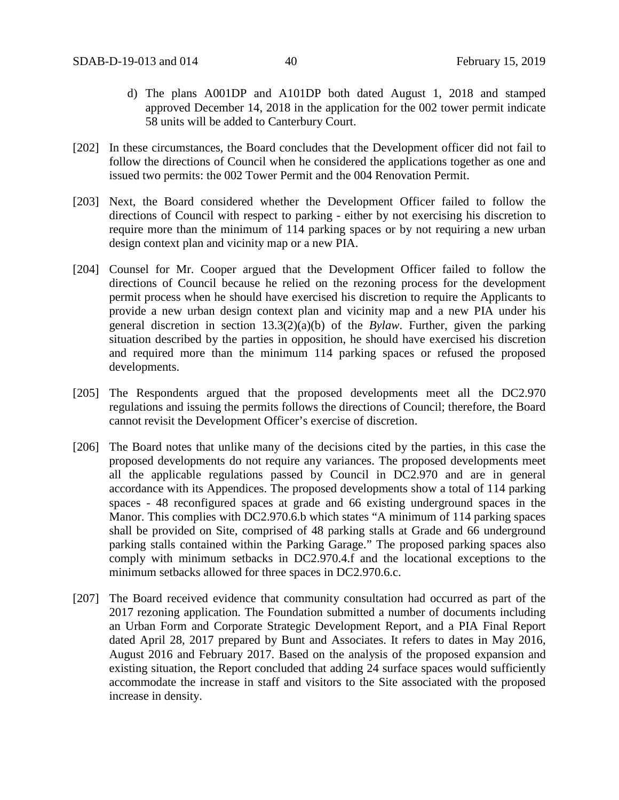- d) The plans A001DP and A101DP both dated August 1, 2018 and stamped approved December 14, 2018 in the application for the 002 tower permit indicate 58 units will be added to Canterbury Court.
- [202] In these circumstances, the Board concludes that the Development officer did not fail to follow the directions of Council when he considered the applications together as one and issued two permits: the 002 Tower Permit and the 004 Renovation Permit.
- [203] Next, the Board considered whether the Development Officer failed to follow the directions of Council with respect to parking - either by not exercising his discretion to require more than the minimum of 114 parking spaces or by not requiring a new urban design context plan and vicinity map or a new PIA.
- [204] Counsel for Mr. Cooper argued that the Development Officer failed to follow the directions of Council because he relied on the rezoning process for the development permit process when he should have exercised his discretion to require the Applicants to provide a new urban design context plan and vicinity map and a new PIA under his general discretion in section 13.3(2)(a)(b) of the *Bylaw*. Further, given the parking situation described by the parties in opposition, he should have exercised his discretion and required more than the minimum 114 parking spaces or refused the proposed developments.
- [205] The Respondents argued that the proposed developments meet all the DC2.970 regulations and issuing the permits follows the directions of Council; therefore, the Board cannot revisit the Development Officer's exercise of discretion.
- [206] The Board notes that unlike many of the decisions cited by the parties, in this case the proposed developments do not require any variances. The proposed developments meet all the applicable regulations passed by Council in DC2.970 and are in general accordance with its Appendices. The proposed developments show a total of 114 parking spaces - 48 reconfigured spaces at grade and 66 existing underground spaces in the Manor. This complies with DC2.970.6.b which states "A minimum of 114 parking spaces shall be provided on Site, comprised of 48 parking stalls at Grade and 66 underground parking stalls contained within the Parking Garage." The proposed parking spaces also comply with minimum setbacks in DC2.970.4.f and the locational exceptions to the minimum setbacks allowed for three spaces in DC2.970.6.c.
- [207] The Board received evidence that community consultation had occurred as part of the 2017 rezoning application. The Foundation submitted a number of documents including an Urban Form and Corporate Strategic Development Report, and a PIA Final Report dated April 28, 2017 prepared by Bunt and Associates. It refers to dates in May 2016, August 2016 and February 2017. Based on the analysis of the proposed expansion and existing situation, the Report concluded that adding 24 surface spaces would sufficiently accommodate the increase in staff and visitors to the Site associated with the proposed increase in density.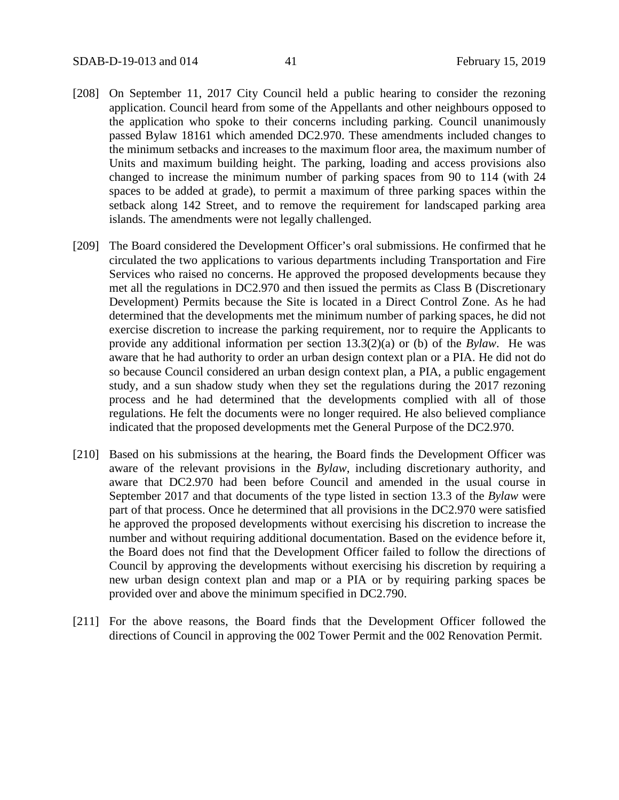- [208] On September 11, 2017 City Council held a public hearing to consider the rezoning application. Council heard from some of the Appellants and other neighbours opposed to the application who spoke to their concerns including parking. Council unanimously passed Bylaw 18161 which amended DC2.970. These amendments included changes to the minimum setbacks and increases to the maximum floor area, the maximum number of Units and maximum building height. The parking, loading and access provisions also changed to increase the minimum number of parking spaces from 90 to 114 (with 24 spaces to be added at grade), to permit a maximum of three parking spaces within the setback along 142 Street, and to remove the requirement for landscaped parking area islands. The amendments were not legally challenged.
- [209] The Board considered the Development Officer's oral submissions. He confirmed that he circulated the two applications to various departments including Transportation and Fire Services who raised no concerns. He approved the proposed developments because they met all the regulations in DC2.970 and then issued the permits as Class B (Discretionary Development) Permits because the Site is located in a Direct Control Zone. As he had determined that the developments met the minimum number of parking spaces, he did not exercise discretion to increase the parking requirement, nor to require the Applicants to provide any additional information per section 13.3(2)(a) or (b) of the *Bylaw*. He was aware that he had authority to order an urban design context plan or a PIA. He did not do so because Council considered an urban design context plan, a PIA, a public engagement study, and a sun shadow study when they set the regulations during the 2017 rezoning process and he had determined that the developments complied with all of those regulations. He felt the documents were no longer required. He also believed compliance indicated that the proposed developments met the General Purpose of the DC2.970.
- [210] Based on his submissions at the hearing, the Board finds the Development Officer was aware of the relevant provisions in the *Bylaw*, including discretionary authority, and aware that DC2.970 had been before Council and amended in the usual course in September 2017 and that documents of the type listed in section 13.3 of the *Bylaw* were part of that process. Once he determined that all provisions in the DC2.970 were satisfied he approved the proposed developments without exercising his discretion to increase the number and without requiring additional documentation. Based on the evidence before it, the Board does not find that the Development Officer failed to follow the directions of Council by approving the developments without exercising his discretion by requiring a new urban design context plan and map or a PIA or by requiring parking spaces be provided over and above the minimum specified in DC2.790.
- [211] For the above reasons, the Board finds that the Development Officer followed the directions of Council in approving the 002 Tower Permit and the 002 Renovation Permit.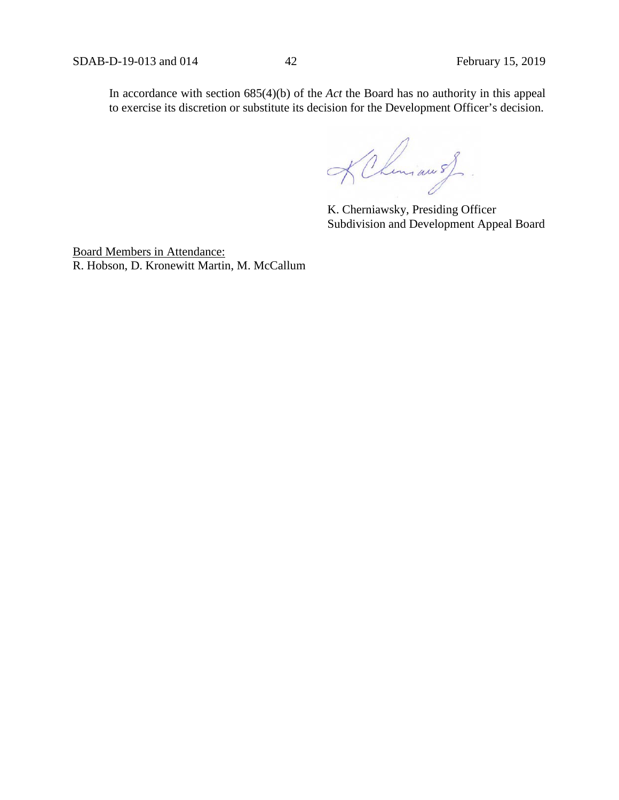In accordance with section 685(4)(b) of the *Act* the Board has no authority in this appeal to exercise its discretion or substitute its decision for the Development Officer's decision.

KChemiau of.

K. Cherniawsky, Presiding Officer Subdivision and Development Appeal Board

Board Members in Attendance: R. Hobson, D. Kronewitt Martin, M. McCallum